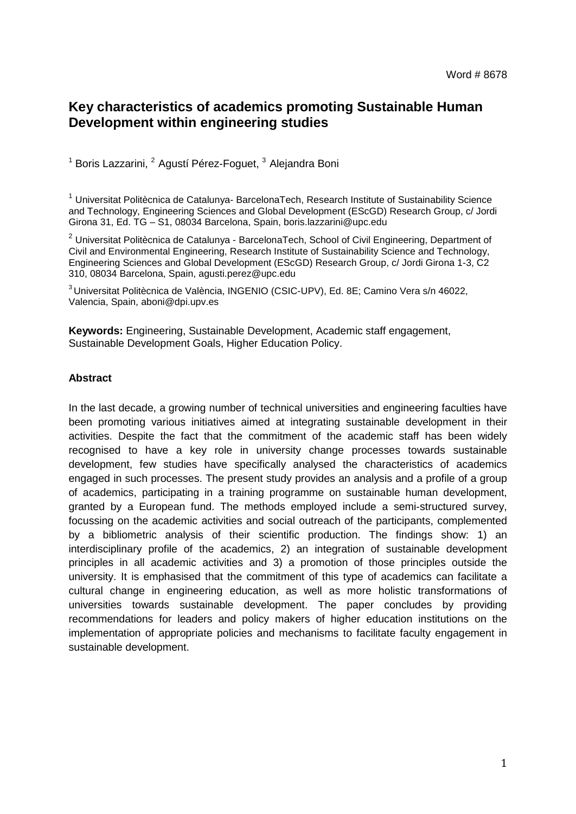# **Key characteristics of academics promoting Sustainable Human Development within engineering studies**

 $<sup>1</sup>$  Boris Lazzarini,  $<sup>2</sup>$  Agustí Pérez-Foguet,  $<sup>3</sup>$  Alejandra Boni</sup></sup></sup>

<sup>1</sup> Universitat Politècnica de Catalunya- BarcelonaTech, Research Institute of Sustainability Science and Technology, Engineering Sciences and Global Development (EScGD) Research Group, c/ Jordi Girona 31, Ed. TG – S1, 08034 Barcelona, Spain, boris.lazzarini@upc.edu

 $2$  Universitat Politècnica de Catalunya - BarcelonaTech, School of Civil Engineering, Department of Civil and Environmental Engineering, Research Institute of Sustainability Science and Technology, Engineering Sciences and Global Development (EScGD) Research Group, c/ Jordi Girona 1-3, C2 310, 08034 Barcelona, Spain, agusti.perez@upc.edu

3 Universitat Politècnica de València, INGENIO (CSIC-UPV), Ed. 8E; Camino Vera s/n 46022, Valencia, Spain, aboni@dpi.upv.es

**Keywords:** Engineering, Sustainable Development, Academic staff engagement, Sustainable Development Goals, Higher Education Policy.

#### **Abstract**

In the last decade, a growing number of technical universities and engineering faculties have been promoting various initiatives aimed at integrating sustainable development in their activities. Despite the fact that the commitment of the academic staff has been widely recognised to have a key role in university change processes towards sustainable development, few studies have specifically analysed the characteristics of academics engaged in such processes. The present study provides an analysis and a profile of a group of academics, participating in a training programme on sustainable human development, granted by a European fund. The methods employed include a semi-structured survey, focussing on the academic activities and social outreach of the participants, complemented by a bibliometric analysis of their scientific production. The findings show: 1) an interdisciplinary profile of the academics, 2) an integration of sustainable development principles in all academic activities and 3) a promotion of those principles outside the university. It is emphasised that the commitment of this type of academics can facilitate a cultural change in engineering education, as well as more holistic transformations of universities towards sustainable development. The paper concludes by providing recommendations for leaders and policy makers of higher education institutions on the implementation of appropriate policies and mechanisms to facilitate faculty engagement in sustainable development.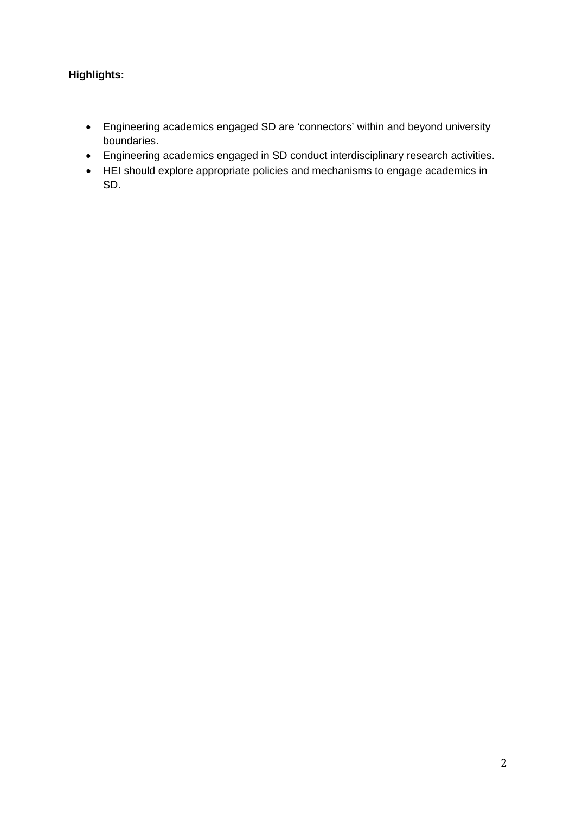# **Highlights:**

- Engineering academics engaged SD are 'connectors' within and beyond university boundaries.
- Engineering academics engaged in SD conduct interdisciplinary research activities.
- HEI should explore appropriate policies and mechanisms to engage academics in SD.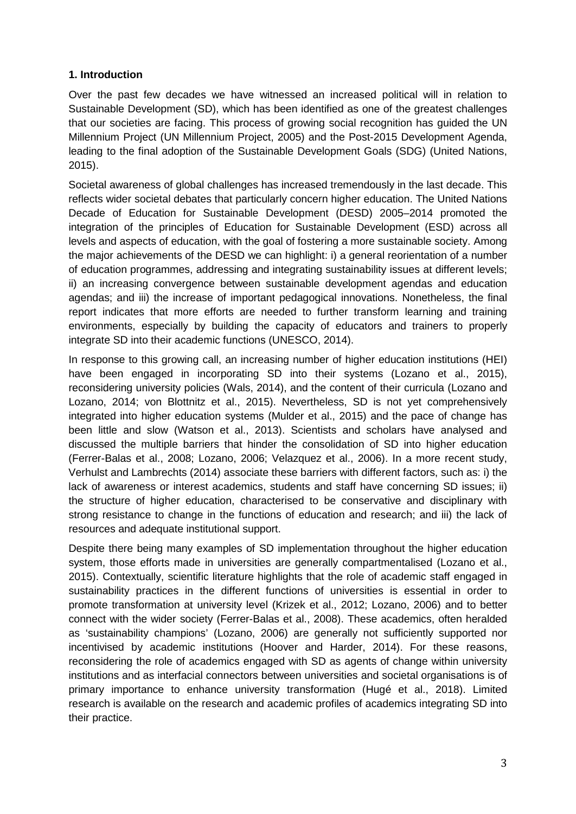### **1. Introduction**

Over the past few decades we have witnessed an increased political will in relation to Sustainable Development (SD), which has been identified as one of the greatest challenges that our societies are facing. This process of growing social recognition has guided the UN Millennium Project (UN Millennium Project, 2005) and the Post-2015 Development Agenda, leading to the final adoption of the Sustainable Development Goals (SDG) (United Nations, 2015).

Societal awareness of global challenges has increased tremendously in the last decade. This reflects wider societal debates that particularly concern higher education. The United Nations Decade of Education for Sustainable Development (DESD) 2005–2014 promoted the integration of the principles of Education for Sustainable Development (ESD) across all levels and aspects of education, with the goal of fostering a more sustainable society. Among the major achievements of the DESD we can highlight: i) a general reorientation of a number of education programmes, addressing and integrating sustainability issues at different levels; ii) an increasing convergence between sustainable development agendas and education agendas; and iii) the increase of important pedagogical innovations. Nonetheless, the final report indicates that more efforts are needed to further transform learning and training environments, especially by building the capacity of educators and trainers to properly integrate SD into their academic functions (UNESCO, 2014).

In response to this growing call, an increasing number of higher education institutions (HEI) have been engaged in incorporating SD into their systems (Lozano et al., 2015), reconsidering university policies (Wals, 2014), and the content of their curricula (Lozano and Lozano, 2014; von Blottnitz et al., 2015). Nevertheless, SD is not yet comprehensively integrated into higher education systems (Mulder et al., 2015) and the pace of change has been little and slow (Watson et al., 2013). Scientists and scholars have analysed and discussed the multiple barriers that hinder the consolidation of SD into higher education (Ferrer-Balas et al., 2008; Lozano, 2006; Velazquez et al., 2006). In a more recent study, Verhulst and Lambrechts (2014) associate these barriers with different factors, such as: i) the lack of awareness or interest academics, students and staff have concerning SD issues; ii) the structure of higher education, characterised to be conservative and disciplinary with strong resistance to change in the functions of education and research; and iii) the lack of resources and adequate institutional support.

Despite there being many examples of SD implementation throughout the higher education system, those efforts made in universities are generally compartmentalised (Lozano et al., 2015). Contextually, scientific literature highlights that the role of academic staff engaged in sustainability practices in the different functions of universities is essential in order to promote transformation at university level (Krizek et al., 2012; Lozano, 2006) and to better connect with the wider society (Ferrer-Balas et al., 2008). These academics, often heralded as 'sustainability champions' (Lozano, 2006) are generally not sufficiently supported nor incentivised by academic institutions (Hoover and Harder, 2014). For these reasons, reconsidering the role of academics engaged with SD as agents of change within university institutions and as interfacial connectors between universities and societal organisations is of primary importance to enhance university transformation (Hugé et al., 2018). Limited research is available on the research and academic profiles of academics integrating SD into their practice.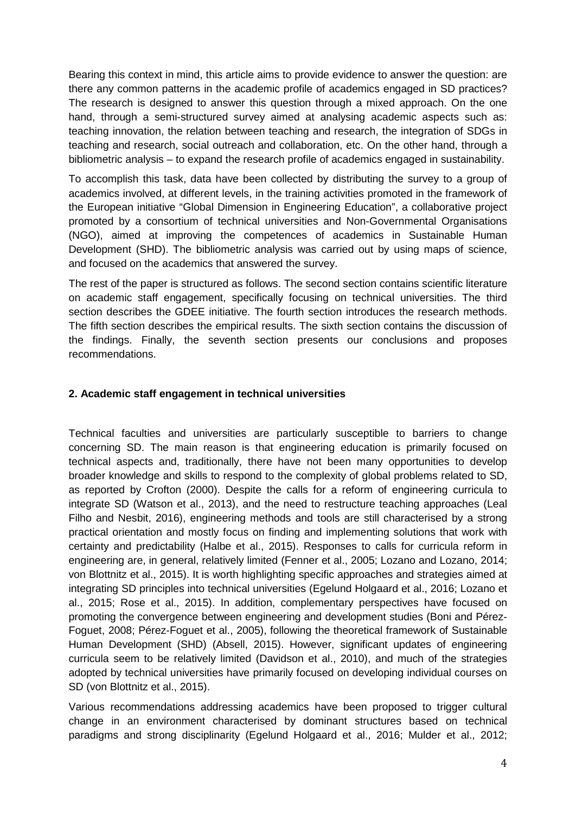Bearing this context in mind, this article aims to provide evidence to answer the question: are there any common patterns in the academic profile of academics engaged in SD practices? The research is designed to answer this question through a mixed approach. On the one hand, through a semi-structured survey aimed at analysing academic aspects such as: teaching innovation, the relation between teaching and research, the integration of SDGs in teaching and research, social outreach and collaboration, etc. On the other hand, through a bibliometric analysis – to expand the research profile of academics engaged in sustainability.

To accomplish this task, data have been collected by distributing the survey to a group of academics involved, at different levels, in the training activities promoted in the framework of the European initiative "Global Dimension in Engineering Education", a collaborative project promoted by a consortium of technical universities and Non-Governmental Organisations (NGO), aimed at improving the competences of academics in Sustainable Human Development (SHD). The bibliometric analysis was carried out by using maps of science, and focused on the academics that answered the survey.

The rest of the paper is structured as follows. The second section contains scientific literature on academic staff engagement, specifically focusing on technical universities. The third section describes the GDEE initiative. The fourth section introduces the research methods. The fifth section describes the empirical results. The sixth section contains the discussion of the findings. Finally, the seventh section presents our conclusions and proposes recommendations.

#### **2. Academic staff engagement in technical universities**

Technical faculties and universities are particularly susceptible to barriers to change concerning SD. The main reason is that engineering education is primarily focused on technical aspects and, traditionally, there have not been many opportunities to develop broader knowledge and skills to respond to the complexity of global problems related to SD, as reported by Crofton (2000). Despite the calls for a reform of engineering curricula to integrate SD (Watson et al., 2013), and the need to restructure teaching approaches (Leal Filho and Nesbit, 2016), engineering methods and tools are still characterised by a strong practical orientation and mostly focus on finding and implementing solutions that work with certainty and predictability (Halbe et al., 2015). Responses to calls for curricula reform in engineering are, in general, relatively limited (Fenner et al., 2005; Lozano and Lozano, 2014; von Blottnitz et al., 2015). It is worth highlighting specific approaches and strategies aimed at integrating SD principles into technical universities (Egelund Holgaard et al., 2016; Lozano et al., 2015; Rose et al., 2015). In addition, complementary perspectives have focused on promoting the convergence between engineering and development studies (Boni and Pérez-Foguet, 2008; Pérez-Foguet et al., 2005), following the theoretical framework of Sustainable Human Development (SHD) (Absell, 2015). However, significant updates of engineering curricula seem to be relatively limited (Davidson et al., 2010), and much of the strategies adopted by technical universities have primarily focused on developing individual courses on SD (von Blottnitz et al., 2015).

Various recommendations addressing academics have been proposed to trigger cultural change in an environment characterised by dominant structures based on technical paradigms and strong disciplinarity (Egelund Holgaard et al., 2016; Mulder et al., 2012;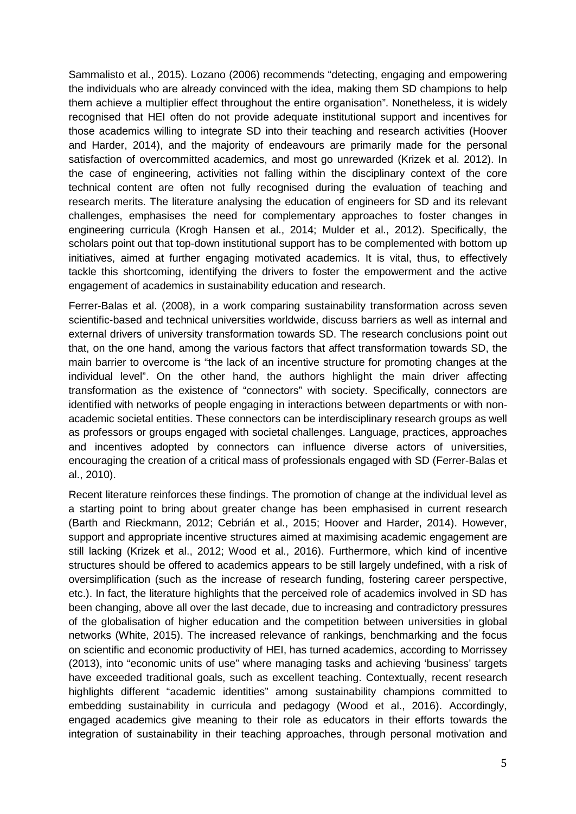Sammalisto et al., 2015). Lozano (2006) recommends "detecting, engaging and empowering the individuals who are already convinced with the idea, making them SD champions to help them achieve a multiplier effect throughout the entire organisation". Nonetheless, it is widely recognised that HEI often do not provide adequate institutional support and incentives for those academics willing to integrate SD into their teaching and research activities (Hoover and Harder, 2014), and the majority of endeavours are primarily made for the personal satisfaction of overcommitted academics, and most go unrewarded (Krizek et al. 2012). In the case of engineering, activities not falling within the disciplinary context of the core technical content are often not fully recognised during the evaluation of teaching and research merits. The literature analysing the education of engineers for SD and its relevant challenges, emphasises the need for complementary approaches to foster changes in engineering curricula (Krogh Hansen et al., 2014; Mulder et al., 2012). Specifically, the scholars point out that top-down institutional support has to be complemented with bottom up initiatives, aimed at further engaging motivated academics. It is vital, thus, to effectively tackle this shortcoming, identifying the drivers to foster the empowerment and the active engagement of academics in sustainability education and research.

Ferrer-Balas et al. (2008), in a work comparing sustainability transformation across seven scientific-based and technical universities worldwide, discuss barriers as well as internal and external drivers of university transformation towards SD. The research conclusions point out that, on the one hand, among the various factors that affect transformation towards SD, the main barrier to overcome is "the lack of an incentive structure for promoting changes at the individual level". On the other hand, the authors highlight the main driver affecting transformation as the existence of "connectors" with society. Specifically, connectors are identified with networks of people engaging in interactions between departments or with nonacademic societal entities. These connectors can be interdisciplinary research groups as well as professors or groups engaged with societal challenges. Language, practices, approaches and incentives adopted by connectors can influence diverse actors of universities, encouraging the creation of a critical mass of professionals engaged with SD (Ferrer-Balas et al., 2010).

Recent literature reinforces these findings. The promotion of change at the individual level as a starting point to bring about greater change has been emphasised in current research (Barth and Rieckmann, 2012; Cebrián et al., 2015; Hoover and Harder, 2014). However, support and appropriate incentive structures aimed at maximising academic engagement are still lacking (Krizek et al., 2012; Wood et al., 2016). Furthermore, which kind of incentive structures should be offered to academics appears to be still largely undefined, with a risk of oversimplification (such as the increase of research funding, fostering career perspective, etc.). In fact, the literature highlights that the perceived role of academics involved in SD has been changing, above all over the last decade, due to increasing and contradictory pressures of the globalisation of higher education and the competition between universities in global networks (White, 2015). The increased relevance of rankings, benchmarking and the focus on scientific and economic productivity of HEI, has turned academics, according to Morrissey (2013), into "economic units of use" where managing tasks and achieving 'business' targets have exceeded traditional goals, such as excellent teaching. Contextually, recent research highlights different "academic identities" among sustainability champions committed to embedding sustainability in curricula and pedagogy (Wood et al., 2016). Accordingly, engaged academics give meaning to their role as educators in their efforts towards the integration of sustainability in their teaching approaches, through personal motivation and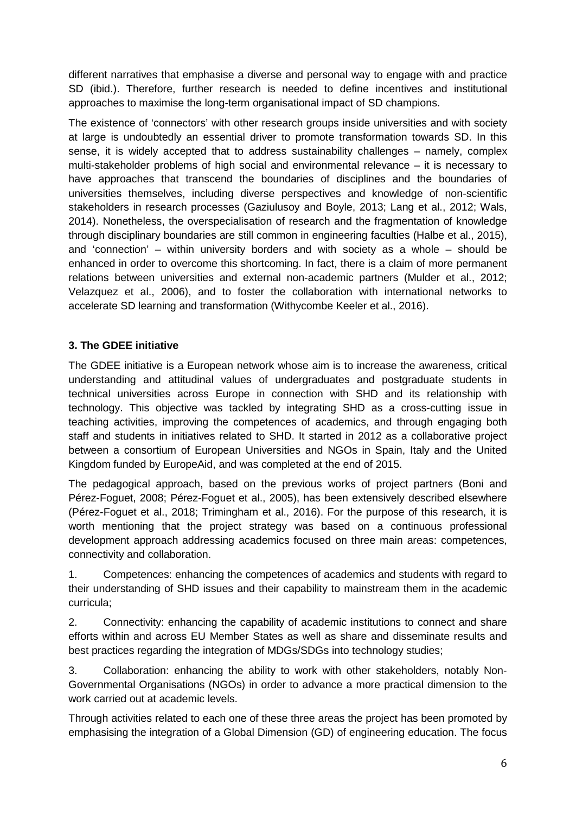different narratives that emphasise a diverse and personal way to engage with and practice SD (ibid.). Therefore, further research is needed to define incentives and institutional approaches to maximise the long-term organisational impact of SD champions.

The existence of 'connectors' with other research groups inside universities and with society at large is undoubtedly an essential driver to promote transformation towards SD. In this sense, it is widely accepted that to address sustainability challenges – namely, complex multi-stakeholder problems of high social and environmental relevance – it is necessary to have approaches that transcend the boundaries of disciplines and the boundaries of universities themselves, including diverse perspectives and knowledge of non-scientific stakeholders in research processes (Gaziulusoy and Boyle, 2013; Lang et al., 2012; Wals, 2014). Nonetheless, the overspecialisation of research and the fragmentation of knowledge through disciplinary boundaries are still common in engineering faculties (Halbe et al., 2015), and 'connection' – within university borders and with society as a whole – should be enhanced in order to overcome this shortcoming. In fact, there is a claim of more permanent relations between universities and external non-academic partners (Mulder et al., 2012; Velazquez et al., 2006), and to foster the collaboration with international networks to accelerate SD learning and transformation (Withycombe Keeler et al., 2016).

## **3. The GDEE initiative**

The GDEE initiative is a European network whose aim is to increase the awareness, critical understanding and attitudinal values of undergraduates and postgraduate students in technical universities across Europe in connection with SHD and its relationship with technology. This objective was tackled by integrating SHD as a cross-cutting issue in teaching activities, improving the competences of academics, and through engaging both staff and students in initiatives related to SHD. It started in 2012 as a collaborative project between a consortium of European Universities and NGOs in Spain, Italy and the United Kingdom funded by EuropeAid, and was completed at the end of 2015.

The pedagogical approach, based on the previous works of project partners (Boni and Pérez-Foguet, 2008; Pérez-Foguet et al., 2005), has been extensively described elsewhere (Pérez-Foguet et al., 2018; Trimingham et al., 2016). For the purpose of this research, it is worth mentioning that the project strategy was based on a continuous professional development approach addressing academics focused on three main areas: competences, connectivity and collaboration.

1. Competences: enhancing the competences of academics and students with regard to their understanding of SHD issues and their capability to mainstream them in the academic curricula;

2. Connectivity: enhancing the capability of academic institutions to connect and share efforts within and across EU Member States as well as share and disseminate results and best practices regarding the integration of MDGs/SDGs into technology studies;

3. Collaboration: enhancing the ability to work with other stakeholders, notably Non-Governmental Organisations (NGOs) in order to advance a more practical dimension to the work carried out at academic levels.

Through activities related to each one of these three areas the project has been promoted by emphasising the integration of a Global Dimension (GD) of engineering education. The focus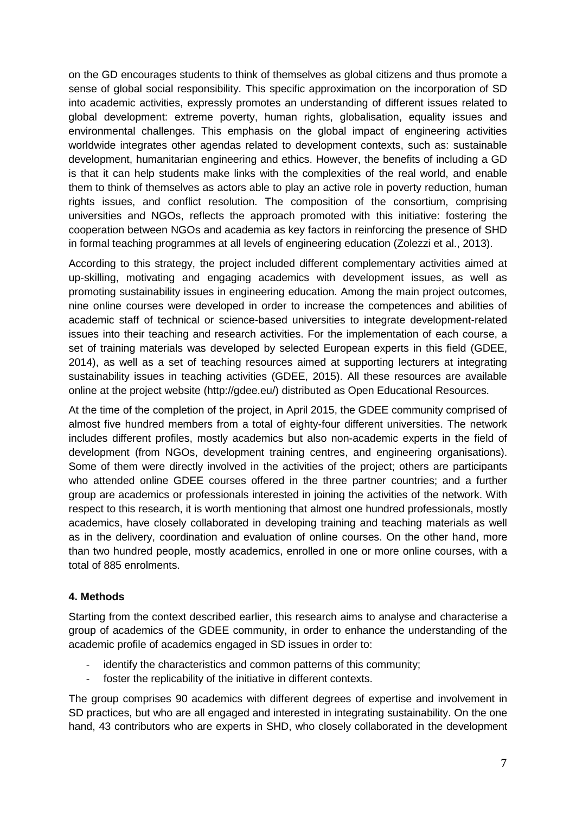on the GD encourages students to think of themselves as global citizens and thus promote a sense of global social responsibility. This specific approximation on the incorporation of SD into academic activities, expressly promotes an understanding of different issues related to global development: extreme poverty, human rights, globalisation, equality issues and environmental challenges. This emphasis on the global impact of engineering activities worldwide integrates other agendas related to development contexts, such as: sustainable development, humanitarian engineering and ethics. However, the benefits of including a GD is that it can help students make links with the complexities of the real world, and enable them to think of themselves as actors able to play an active role in poverty reduction, human rights issues, and conflict resolution. The composition of the consortium, comprising universities and NGOs, reflects the approach promoted with this initiative: fostering the cooperation between NGOs and academia as key factors in reinforcing the presence of SHD in formal teaching programmes at all levels of engineering education (Zolezzi et al., 2013).

According to this strategy, the project included different complementary activities aimed at up-skilling, motivating and engaging academics with development issues, as well as promoting sustainability issues in engineering education. Among the main project outcomes, nine online courses were developed in order to increase the competences and abilities of academic staff of technical or science-based universities to integrate development-related issues into their teaching and research activities. For the implementation of each course, a set of training materials was developed by selected European experts in this field (GDEE, 2014), as well as a set of teaching resources aimed at supporting lecturers at integrating sustainability issues in teaching activities (GDEE, 2015). All these resources are available online at the project website (http://gdee.eu/) distributed as Open Educational Resources.

At the time of the completion of the project, in April 2015, the GDEE community comprised of almost five hundred members from a total of eighty-four different universities. The network includes different profiles, mostly academics but also non-academic experts in the field of development (from NGOs, development training centres, and engineering organisations). Some of them were directly involved in the activities of the project; others are participants who attended online GDEE courses offered in the three partner countries; and a further group are academics or professionals interested in joining the activities of the network. With respect to this research, it is worth mentioning that almost one hundred professionals, mostly academics, have closely collaborated in developing training and teaching materials as well as in the delivery, coordination and evaluation of online courses. On the other hand, more than two hundred people, mostly academics, enrolled in one or more online courses, with a total of 885 enrolments.

### **4. Methods**

Starting from the context described earlier, this research aims to analyse and characterise a group of academics of the GDEE community, in order to enhance the understanding of the academic profile of academics engaged in SD issues in order to:

- identify the characteristics and common patterns of this community;
- foster the replicability of the initiative in different contexts.

The group comprises 90 academics with different degrees of expertise and involvement in SD practices, but who are all engaged and interested in integrating sustainability. On the one hand, 43 contributors who are experts in SHD, who closely collaborated in the development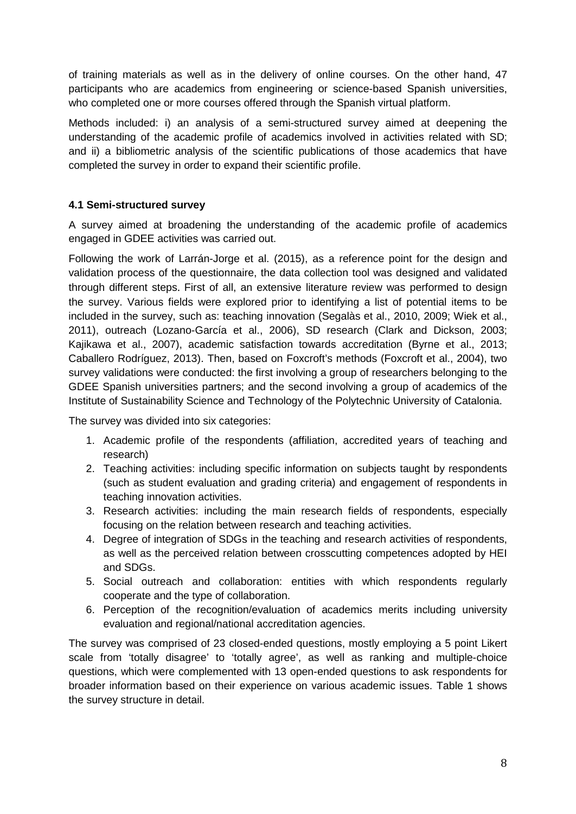of training materials as well as in the delivery of online courses. On the other hand, 47 participants who are academics from engineering or science-based Spanish universities, who completed one or more courses offered through the Spanish virtual platform.

Methods included: i) an analysis of a semi-structured survey aimed at deepening the understanding of the academic profile of academics involved in activities related with SD; and ii) a bibliometric analysis of the scientific publications of those academics that have completed the survey in order to expand their scientific profile.

## **4.1 Semi-structured survey**

A survey aimed at broadening the understanding of the academic profile of academics engaged in GDEE activities was carried out.

Following the work of Larrán-Jorge et al. (2015), as a reference point for the design and validation process of the questionnaire, the data collection tool was designed and validated through different steps. First of all, an extensive literature review was performed to design the survey. Various fields were explored prior to identifying a list of potential items to be included in the survey, such as: teaching innovation (Segalàs et al., 2010, 2009; Wiek et al., 2011), outreach (Lozano-García et al., 2006), SD research (Clark and Dickson, 2003; Kajikawa et al., 2007), academic satisfaction towards accreditation (Byrne et al., 2013; Caballero Rodríguez, 2013). Then, based on Foxcroft's methods (Foxcroft et al., 2004), two survey validations were conducted: the first involving a group of researchers belonging to the GDEE Spanish universities partners; and the second involving a group of academics of the Institute of Sustainability Science and Technology of the Polytechnic University of Catalonia.

The survey was divided into six categories:

- 1. Academic profile of the respondents (affiliation, accredited years of teaching and research)
- 2. Teaching activities: including specific information on subjects taught by respondents (such as student evaluation and grading criteria) and engagement of respondents in teaching innovation activities.
- 3. Research activities: including the main research fields of respondents, especially focusing on the relation between research and teaching activities.
- 4. Degree of integration of SDGs in the teaching and research activities of respondents, as well as the perceived relation between crosscutting competences adopted by HEI and SDGs.
- 5. Social outreach and collaboration: entities with which respondents regularly cooperate and the type of collaboration.
- 6. Perception of the recognition/evaluation of academics merits including university evaluation and regional/national accreditation agencies.

The survey was comprised of 23 closed-ended questions, mostly employing a 5 point Likert scale from 'totally disagree' to 'totally agree', as well as ranking and multiple-choice questions, which were complemented with 13 open-ended questions to ask respondents for broader information based on their experience on various academic issues. Table 1 shows the survey structure in detail.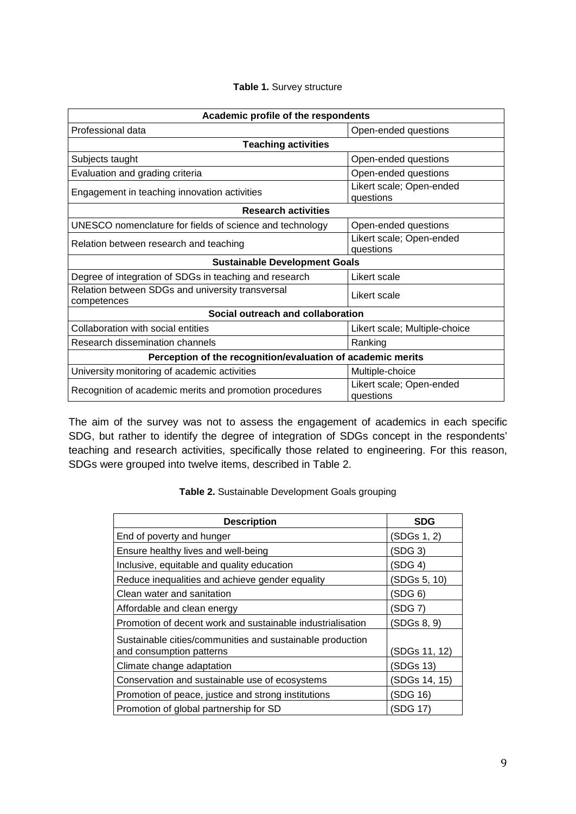#### **Table 1.** Survey structure

| Academic profile of the respondents                                             |                                       |  |  |
|---------------------------------------------------------------------------------|---------------------------------------|--|--|
| Professional data                                                               | Open-ended questions                  |  |  |
| <b>Teaching activities</b>                                                      |                                       |  |  |
| Subjects taught                                                                 | Open-ended questions                  |  |  |
| Evaluation and grading criteria                                                 | Open-ended questions                  |  |  |
| Engagement in teaching innovation activities                                    | Likert scale; Open-ended<br>questions |  |  |
| <b>Research activities</b>                                                      |                                       |  |  |
| UNESCO nomenclature for fields of science and technology                        | Open-ended questions                  |  |  |
| Relation between research and teaching                                          | Likert scale; Open-ended<br>questions |  |  |
| <b>Sustainable Development Goals</b>                                            |                                       |  |  |
| Degree of integration of SDGs in teaching and research                          | Likert scale                          |  |  |
| Relation between SDGs and university transversal<br>Likert scale<br>competences |                                       |  |  |
| Social outreach and collaboration                                               |                                       |  |  |
| Collaboration with social entities                                              | Likert scale; Multiple-choice         |  |  |
| Research dissemination channels<br>Ranking                                      |                                       |  |  |
| Perception of the recognition/evaluation of academic merits                     |                                       |  |  |
| University monitoring of academic activities                                    | Multiple-choice                       |  |  |
| Recognition of academic merits and promotion procedures                         | Likert scale; Open-ended<br>questions |  |  |

The aim of the survey was not to assess the engagement of academics in each specific SDG, but rather to identify the degree of integration of SDGs concept in the respondents' teaching and research activities, specifically those related to engineering. For this reason, SDGs were grouped into twelve items, described in Table 2.

| Table 2. Sustainable Development Goals grouping |  |  |
|-------------------------------------------------|--|--|
|-------------------------------------------------|--|--|

| <b>Description</b>                                         | <b>SDG</b>    |
|------------------------------------------------------------|---------------|
| End of poverty and hunger                                  | (SDGs 1, 2)   |
| Ensure healthy lives and well-being                        | (SDG 3)       |
| Inclusive, equitable and quality education                 | (SDG 4)       |
| Reduce inequalities and achieve gender equality            | (SDGs 5, 10)  |
| Clean water and sanitation                                 | (SDG 6)       |
| Affordable and clean energy                                | (SDG 7)       |
| Promotion of decent work and sustainable industrialisation | (SDGs 8, 9)   |
| Sustainable cities/communities and sustainable production  |               |
| and consumption patterns                                   | (SDGs 11, 12) |
| Climate change adaptation                                  | (SDGs 13)     |
| Conservation and sustainable use of ecosystems             | (SDGs 14, 15) |
| Promotion of peace, justice and strong institutions        | (SDG 16)      |
| Promotion of global partnership for SD                     | (SDG 17)      |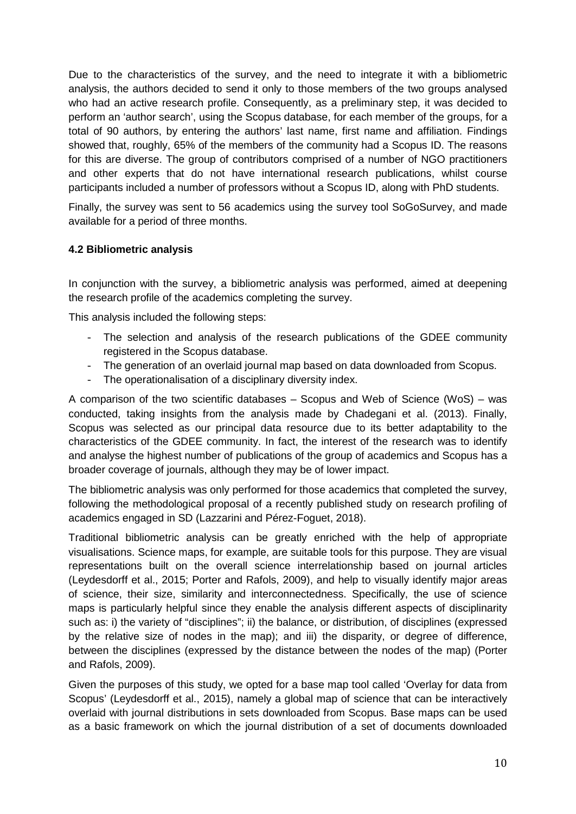Due to the characteristics of the survey, and the need to integrate it with a bibliometric analysis, the authors decided to send it only to those members of the two groups analysed who had an active research profile. Consequently, as a preliminary step, it was decided to perform an 'author search', using the Scopus database, for each member of the groups, for a total of 90 authors, by entering the authors' last name, first name and affiliation. Findings showed that, roughly, 65% of the members of the community had a Scopus ID. The reasons for this are diverse. The group of contributors comprised of a number of NGO practitioners and other experts that do not have international research publications, whilst course participants included a number of professors without a Scopus ID, along with PhD students.

Finally, the survey was sent to 56 academics using the survey tool SoGoSurvey, and made available for a period of three months.

### **4.2 Bibliometric analysis**

In conjunction with the survey, a bibliometric analysis was performed, aimed at deepening the research profile of the academics completing the survey.

This analysis included the following steps:

- The selection and analysis of the research publications of the GDEE community registered in the Scopus database.
- The generation of an overlaid journal map based on data downloaded from Scopus.
- The operationalisation of a disciplinary diversity index.

A comparison of the two scientific databases – Scopus and Web of Science (WoS) – was conducted, taking insights from the analysis made by Chadegani et al. (2013). Finally, Scopus was selected as our principal data resource due to its better adaptability to the characteristics of the GDEE community. In fact, the interest of the research was to identify and analyse the highest number of publications of the group of academics and Scopus has a broader coverage of journals, although they may be of lower impact.

The bibliometric analysis was only performed for those academics that completed the survey, following the methodological proposal of a recently published study on research profiling of academics engaged in SD (Lazzarini and Pérez-Foguet, 2018).

Traditional bibliometric analysis can be greatly enriched with the help of appropriate visualisations. Science maps, for example, are suitable tools for this purpose. They are visual representations built on the overall science interrelationship based on journal articles (Leydesdorff et al., 2015; Porter and Rafols, 2009), and help to visually identify major areas of science, their size, similarity and interconnectedness. Specifically, the use of science maps is particularly helpful since they enable the analysis different aspects of disciplinarity such as: i) the variety of "disciplines"; ii) the balance, or distribution, of disciplines (expressed by the relative size of nodes in the map); and iii) the disparity, or degree of difference, between the disciplines (expressed by the distance between the nodes of the map) (Porter and Rafols, 2009).

Given the purposes of this study, we opted for a base map tool called 'Overlay for data from Scopus' (Leydesdorff et al., 2015), namely a global map of science that can be interactively overlaid with journal distributions in sets downloaded from Scopus. Base maps can be used as a basic framework on which the journal distribution of a set of documents downloaded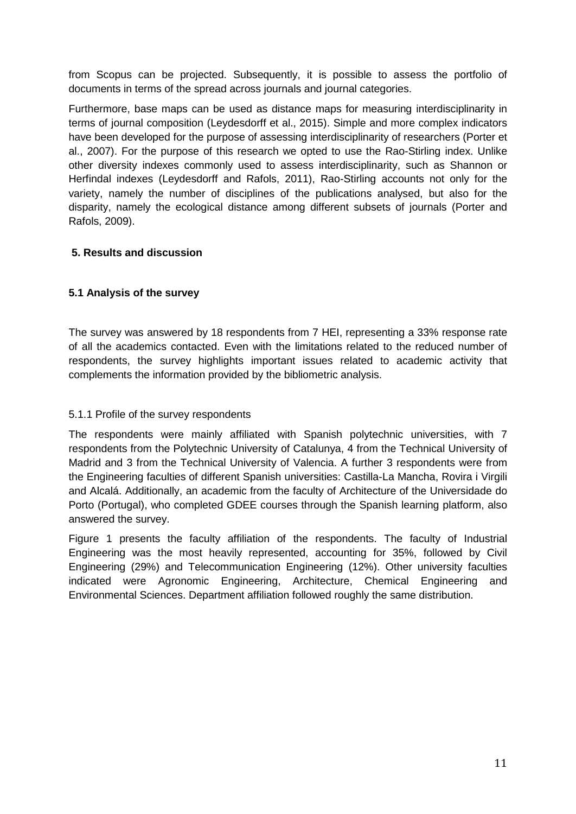from Scopus can be projected. Subsequently, it is possible to assess the portfolio of documents in terms of the spread across journals and journal categories.

Furthermore, base maps can be used as distance maps for measuring interdisciplinarity in terms of journal composition (Leydesdorff et al., 2015). Simple and more complex indicators have been developed for the purpose of assessing interdisciplinarity of researchers (Porter et al., 2007). For the purpose of this research we opted to use the Rao-Stirling index. Unlike other diversity indexes commonly used to assess interdisciplinarity, such as Shannon or Herfindal indexes (Leydesdorff and Rafols, 2011), Rao-Stirling accounts not only for the variety, namely the number of disciplines of the publications analysed, but also for the disparity, namely the ecological distance among different subsets of journals (Porter and Rafols, 2009).

### **5. Results and discussion**

### **5.1 Analysis of the survey**

The survey was answered by 18 respondents from 7 HEI, representing a 33% response rate of all the academics contacted. Even with the limitations related to the reduced number of respondents, the survey highlights important issues related to academic activity that complements the information provided by the bibliometric analysis.

### 5.1.1 Profile of the survey respondents

The respondents were mainly affiliated with Spanish polytechnic universities, with 7 respondents from the Polytechnic University of Catalunya, 4 from the Technical University of Madrid and 3 from the Technical University of Valencia. A further 3 respondents were from the Engineering faculties of different Spanish universities: Castilla-La Mancha, Rovira i Virgili and Alcalá. Additionally, an academic from the faculty of Architecture of the Universidade do Porto (Portugal), who completed GDEE courses through the Spanish learning platform, also answered the survey.

Figure 1 presents the faculty affiliation of the respondents. The faculty of Industrial Engineering was the most heavily represented, accounting for 35%, followed by Civil Engineering (29%) and Telecommunication Engineering (12%). Other university faculties indicated were Agronomic Engineering, Architecture, Chemical Engineering and Environmental Sciences. Department affiliation followed roughly the same distribution.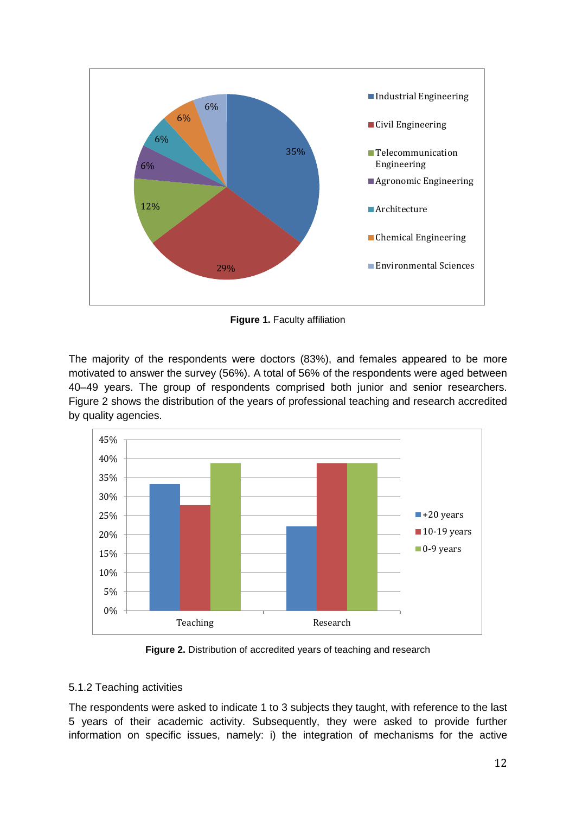

**Figure 1.** Faculty affiliation

The majority of the respondents were doctors (83%), and females appeared to be more motivated to answer the survey (56%). A total of 56% of the respondents were aged between 40–49 years. The group of respondents comprised both junior and senior researchers. Figure 2 shows the distribution of the years of professional teaching and research accredited by quality agencies.



**Figure 2.** Distribution of accredited years of teaching and research

# 5.1.2 Teaching activities

The respondents were asked to indicate 1 to 3 subjects they taught, with reference to the last 5 years of their academic activity. Subsequently, they were asked to provide further information on specific issues, namely: i) the integration of mechanisms for the active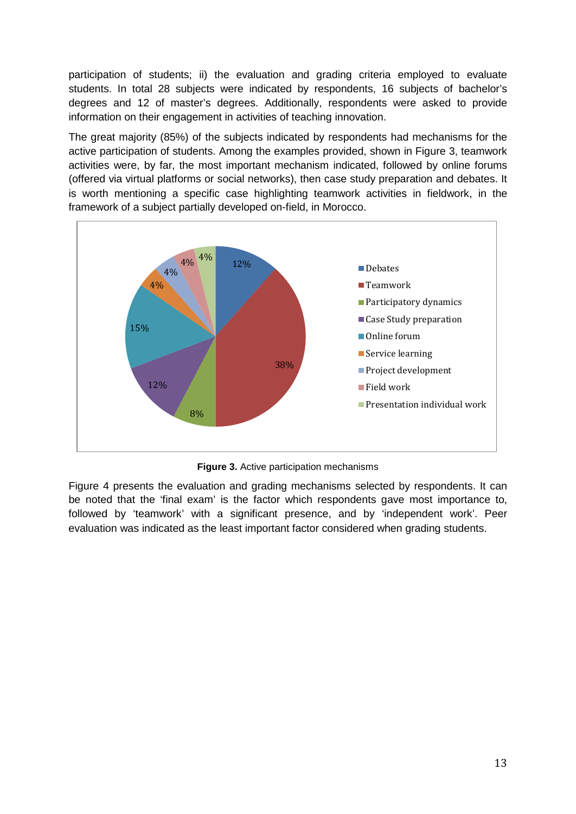participation of students; ii) the evaluation and grading criteria employed to evaluate students. In total 28 subjects were indicated by respondents, 16 subjects of bachelor's degrees and 12 of master's degrees. Additionally, respondents were asked to provide information on their engagement in activities of teaching innovation.

The great majority (85%) of the subjects indicated by respondents had mechanisms for the active participation of students. Among the examples provided, shown in Figure 3, teamwork activities were, by far, the most important mechanism indicated, followed by online forums (offered via virtual platforms or social networks), then case study preparation and debates. It is worth mentioning a specific case highlighting teamwork activities in fieldwork, in the framework of a subject partially developed on-field, in Morocco.



**Figure 3.** Active participation mechanisms

Figure 4 presents the evaluation and grading mechanisms selected by respondents. It can be noted that the 'final exam' is the factor which respondents gave most importance to, followed by 'teamwork' with a significant presence, and by 'independent work'. Peer evaluation was indicated as the least important factor considered when grading students.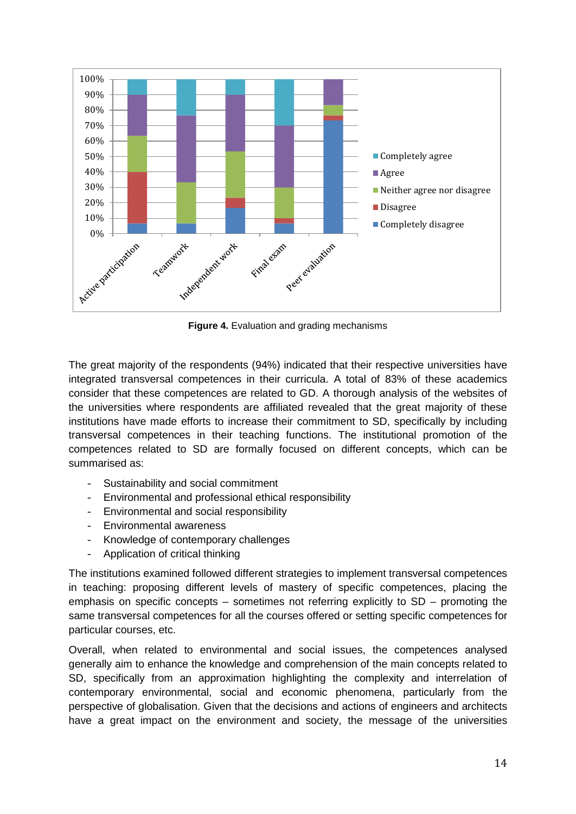

**Figure 4.** Evaluation and grading mechanisms

The great majority of the respondents (94%) indicated that their respective universities have integrated transversal competences in their curricula. A total of 83% of these academics consider that these competences are related to GD. A thorough analysis of the websites of the universities where respondents are affiliated revealed that the great majority of these institutions have made efforts to increase their commitment to SD, specifically by including transversal competences in their teaching functions. The institutional promotion of the competences related to SD are formally focused on different concepts, which can be summarised as:

- Sustainability and social commitment
- Environmental and professional ethical responsibility
- Environmental and social responsibility
- Environmental awareness
- Knowledge of contemporary challenges
- Application of critical thinking

The institutions examined followed different strategies to implement transversal competences in teaching: proposing different levels of mastery of specific competences, placing the emphasis on specific concepts – sometimes not referring explicitly to SD – promoting the same transversal competences for all the courses offered or setting specific competences for particular courses, etc.

Overall, when related to environmental and social issues, the competences analysed generally aim to enhance the knowledge and comprehension of the main concepts related to SD, specifically from an approximation highlighting the complexity and interrelation of contemporary environmental, social and economic phenomena, particularly from the perspective of globalisation. Given that the decisions and actions of engineers and architects have a great impact on the environment and society, the message of the universities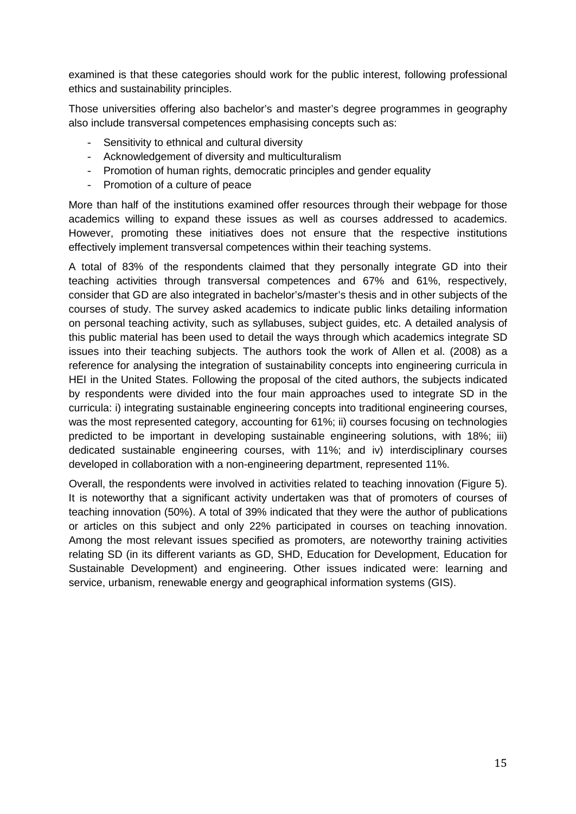examined is that these categories should work for the public interest, following professional ethics and sustainability principles.

Those universities offering also bachelor's and master's degree programmes in geography also include transversal competences emphasising concepts such as:

- Sensitivity to ethnical and cultural diversity
- Acknowledgement of diversity and multiculturalism
- Promotion of human rights, democratic principles and gender equality
- Promotion of a culture of peace

More than half of the institutions examined offer resources through their webpage for those academics willing to expand these issues as well as courses addressed to academics. However, promoting these initiatives does not ensure that the respective institutions effectively implement transversal competences within their teaching systems.

A total of 83% of the respondents claimed that they personally integrate GD into their teaching activities through transversal competences and 67% and 61%, respectively, consider that GD are also integrated in bachelor's/master's thesis and in other subjects of the courses of study. The survey asked academics to indicate public links detailing information on personal teaching activity, such as syllabuses, subject guides, etc. A detailed analysis of this public material has been used to detail the ways through which academics integrate SD issues into their teaching subjects. The authors took the work of Allen et al. (2008) as a reference for analysing the integration of sustainability concepts into engineering curricula in HEI in the United States. Following the proposal of the cited authors, the subjects indicated by respondents were divided into the four main approaches used to integrate SD in the curricula: i) integrating sustainable engineering concepts into traditional engineering courses, was the most represented category, accounting for 61%; ii) courses focusing on technologies predicted to be important in developing sustainable engineering solutions, with 18%; iii) dedicated sustainable engineering courses, with 11%; and iv) interdisciplinary courses developed in collaboration with a non-engineering department, represented 11%.

Overall, the respondents were involved in activities related to teaching innovation (Figure 5). It is noteworthy that a significant activity undertaken was that of promoters of courses of teaching innovation (50%). A total of 39% indicated that they were the author of publications or articles on this subject and only 22% participated in courses on teaching innovation. Among the most relevant issues specified as promoters, are noteworthy training activities relating SD (in its different variants as GD, SHD, Education for Development, Education for Sustainable Development) and engineering. Other issues indicated were: learning and service, urbanism, renewable energy and geographical information systems (GIS).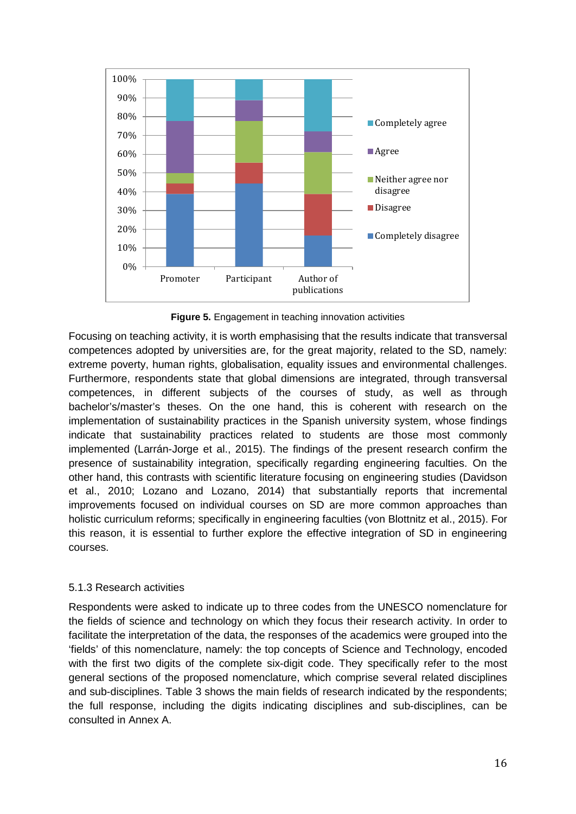

**Figure 5.** Engagement in teaching innovation activities

Focusing on teaching activity, it is worth emphasising that the results indicate that transversal competences adopted by universities are, for the great majority, related to the SD, namely: extreme poverty, human rights, globalisation, equality issues and environmental challenges. Furthermore, respondents state that global dimensions are integrated, through transversal competences, in different subjects of the courses of study, as well as through bachelor's/master's theses. On the one hand, this is coherent with research on the implementation of sustainability practices in the Spanish university system, whose findings indicate that sustainability practices related to students are those most commonly implemented (Larrán-Jorge et al., 2015). The findings of the present research confirm the presence of sustainability integration, specifically regarding engineering faculties. On the other hand, this contrasts with scientific literature focusing on engineering studies (Davidson et al., 2010; Lozano and Lozano, 2014) that substantially reports that incremental improvements focused on individual courses on SD are more common approaches than holistic curriculum reforms; specifically in engineering faculties (von Blottnitz et al., 2015). For this reason, it is essential to further explore the effective integration of SD in engineering courses.

#### 5.1.3 Research activities

Respondents were asked to indicate up to three codes from the UNESCO nomenclature for the fields of science and technology on which they focus their research activity. In order to facilitate the interpretation of the data, the responses of the academics were grouped into the 'fields' of this nomenclature, namely: the top concepts of Science and Technology, encoded with the first two digits of the complete six-digit code. They specifically refer to the most general sections of the proposed nomenclature, which comprise several related disciplines and sub-disciplines. Table 3 shows the main fields of research indicated by the respondents; the full response, including the digits indicating disciplines and sub-disciplines, can be consulted in Annex A.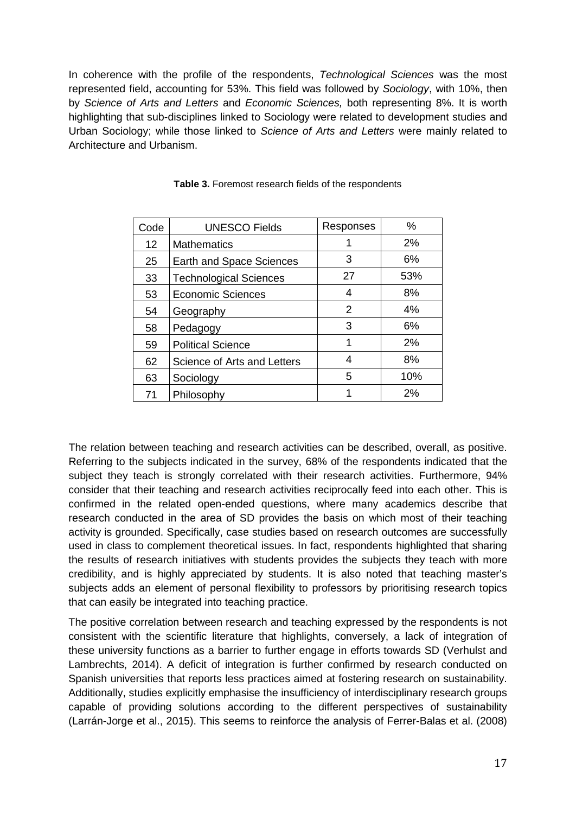In coherence with the profile of the respondents, *Technological Sciences* was the most represented field, accounting for 53%. This field was followed by *Sociology*, with 10%, then by *Science of Arts and Letters* and *Economic Sciences,* both representing 8%. It is worth highlighting that sub-disciplines linked to Sociology were related to development studies and Urban Sociology; while those linked to *Science of Arts and Letters* were mainly related to Architecture and Urbanism.

| Code | <b>UNESCO Fields</b>          | Responses | %   |
|------|-------------------------------|-----------|-----|
| 12   | <b>Mathematics</b>            |           | 2%  |
| 25   | Earth and Space Sciences      | 3         | 6%  |
| 33   | <b>Technological Sciences</b> | 27        | 53% |
| 53   | <b>Economic Sciences</b>      | 4         | 8%  |
| 54   | Geography                     | 2         | 4%  |
| 58   | Pedagogy                      | 3         | 6%  |
| 59   | <b>Political Science</b>      | 1         | 2%  |
| 62   | Science of Arts and Letters   | 4         | 8%  |
| 63   | Sociology                     | 5         | 10% |
| 71   | Philosophy                    | 1         | 2%  |

The relation between teaching and research activities can be described, overall, as positive. Referring to the subjects indicated in the survey, 68% of the respondents indicated that the subject they teach is strongly correlated with their research activities. Furthermore, 94% consider that their teaching and research activities reciprocally feed into each other. This is confirmed in the related open-ended questions, where many academics describe that research conducted in the area of SD provides the basis on which most of their teaching activity is grounded. Specifically, case studies based on research outcomes are successfully used in class to complement theoretical issues. In fact, respondents highlighted that sharing the results of research initiatives with students provides the subjects they teach with more credibility, and is highly appreciated by students. It is also noted that teaching master's subjects adds an element of personal flexibility to professors by prioritising research topics that can easily be integrated into teaching practice.

The positive correlation between research and teaching expressed by the respondents is not consistent with the scientific literature that highlights, conversely, a lack of integration of these university functions as a barrier to further engage in efforts towards SD (Verhulst and Lambrechts, 2014). A deficit of integration is further confirmed by research conducted on Spanish universities that reports less practices aimed at fostering research on sustainability. Additionally, studies explicitly emphasise the insufficiency of interdisciplinary research groups capable of providing solutions according to the different perspectives of sustainability (Larrán-Jorge et al., 2015). This seems to reinforce the analysis of Ferrer-Balas et al. (2008)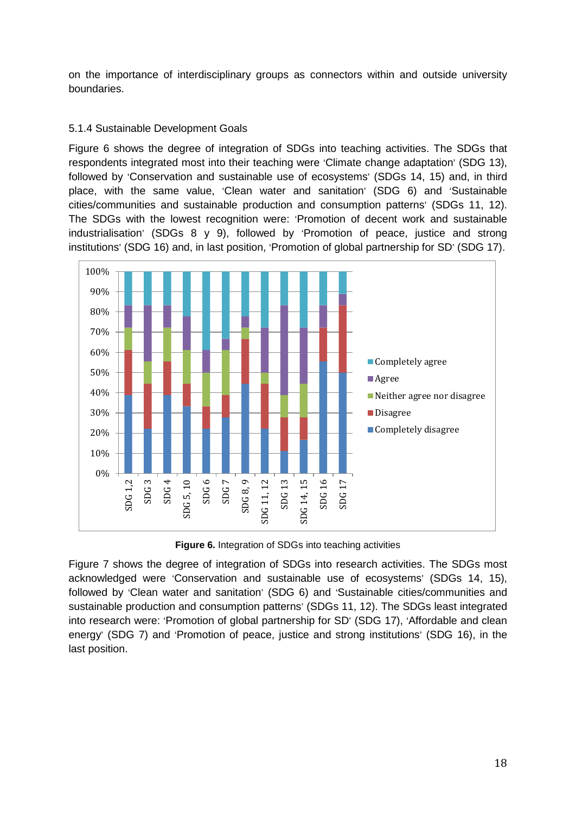on the importance of interdisciplinary groups as connectors within and outside university boundaries.

## 5.1.4 Sustainable Development Goals

Figure 6 shows the degree of integration of SDGs into teaching activities. The SDGs that respondents integrated most into their teaching were 'Climate change adaptation' (SDG 13), followed by 'Conservation and sustainable use of ecosystems' (SDGs 14, 15) and, in third place, with the same value, 'Clean water and sanitation' (SDG 6) and 'Sustainable cities/communities and sustainable production and consumption patterns' (SDGs 11, 12). The SDGs with the lowest recognition were: 'Promotion of decent work and sustainable industrialisation' (SDGs 8 y 9), followed by 'Promotion of peace, justice and strong institutions' (SDG 16) and, in last position, 'Promotion of global partnership for SD' (SDG 17).



**Figure 6.** Integration of SDGs into teaching activities

Figure 7 shows the degree of integration of SDGs into research activities. The SDGs most acknowledged were 'Conservation and sustainable use of ecosystems' (SDGs 14, 15), followed by 'Clean water and sanitation' (SDG 6) and 'Sustainable cities/communities and sustainable production and consumption patterns' (SDGs 11, 12). The SDGs least integrated into research were: 'Promotion of global partnership for SD' (SDG 17), 'Affordable and clean energy' (SDG 7) and 'Promotion of peace, justice and strong institutions' (SDG 16), in the last position.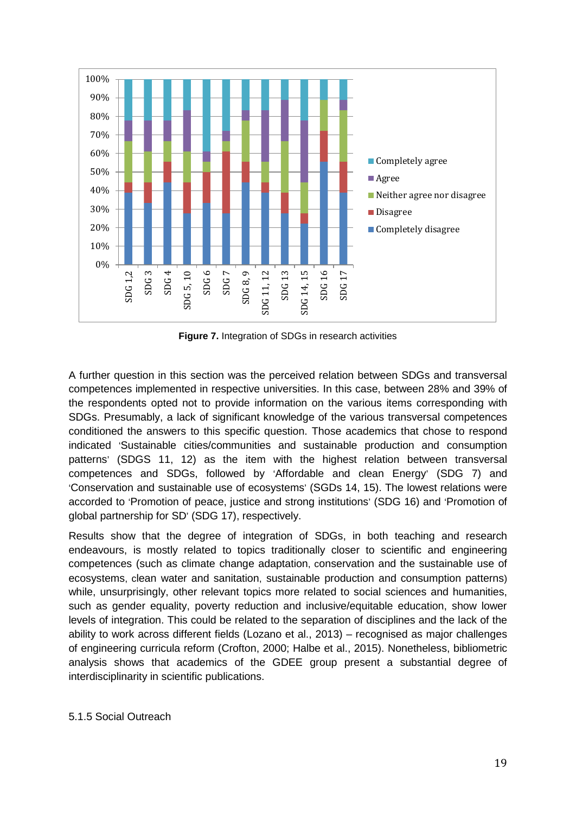

**Figure 7.** Integration of SDGs in research activities

A further question in this section was the perceived relation between SDGs and transversal competences implemented in respective universities. In this case, between 28% and 39% of the respondents opted not to provide information on the various items corresponding with SDGs. Presumably, a lack of significant knowledge of the various transversal competences conditioned the answers to this specific question. Those academics that chose to respond indicated 'Sustainable cities/communities and sustainable production and consumption patterns' (SDGS 11, 12) as the item with the highest relation between transversal competences and SDGs, followed by 'Affordable and clean Energy' (SDG 7) and 'Conservation and sustainable use of ecosystems' (SGDs 14, 15). The lowest relations were accorded to 'Promotion of peace, justice and strong institutions' (SDG 16) and 'Promotion of global partnership for SD' (SDG 17), respectively.

Results show that the degree of integration of SDGs, in both teaching and research endeavours, is mostly related to topics traditionally closer to scientific and engineering competences (such as climate change adaptation, conservation and the sustainable use of ecosystems, clean water and sanitation, sustainable production and consumption patterns) while, unsurprisingly, other relevant topics more related to social sciences and humanities, such as gender equality, poverty reduction and inclusive/equitable education, show lower levels of integration. This could be related to the separation of disciplines and the lack of the ability to work across different fields (Lozano et al., 2013) – recognised as major challenges of engineering curricula reform (Crofton, 2000; Halbe et al., 2015). Nonetheless, bibliometric analysis shows that academics of the GDEE group present a substantial degree of interdisciplinarity in scientific publications.

#### 5.1.5 Social Outreach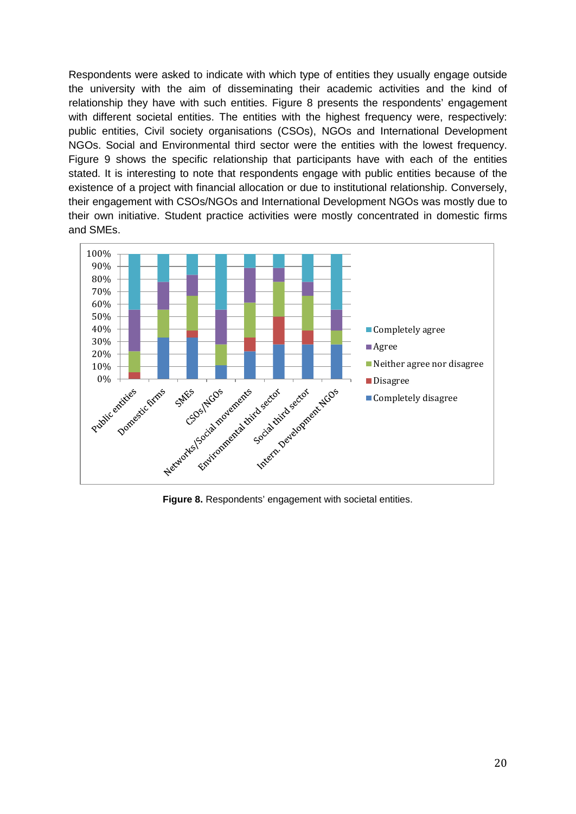Respondents were asked to indicate with which type of entities they usually engage outside the university with the aim of disseminating their academic activities and the kind of relationship they have with such entities. Figure 8 presents the respondents' engagement with different societal entities. The entities with the highest frequency were, respectively: public entities, Civil society organisations (CSOs), NGOs and International Development NGOs. Social and Environmental third sector were the entities with the lowest frequency. Figure 9 shows the specific relationship that participants have with each of the entities stated. It is interesting to note that respondents engage with public entities because of the existence of a project with financial allocation or due to institutional relationship. Conversely, their engagement with CSOs/NGOs and International Development NGOs was mostly due to their own initiative. Student practice activities were mostly concentrated in domestic firms and SMEs.



**Figure 8.** Respondents' engagement with societal entities.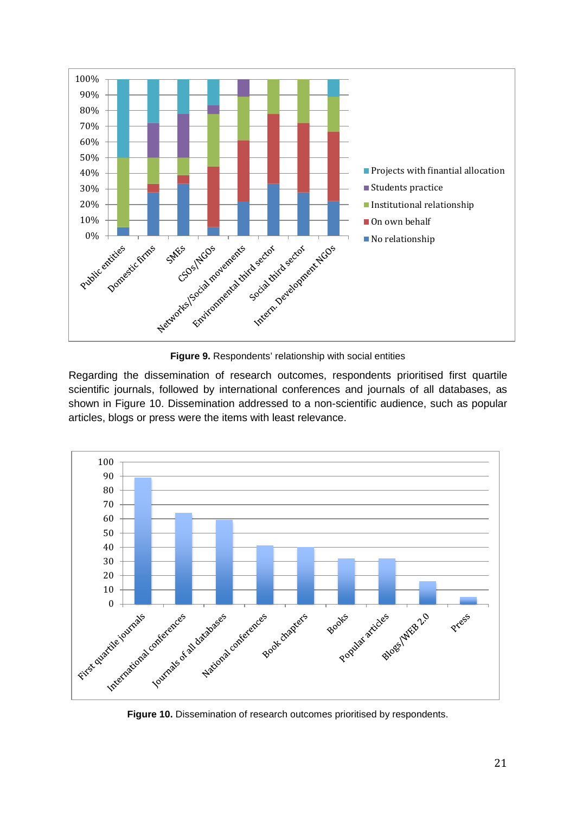

**Figure 9.** Respondents' relationship with social entities

Regarding the dissemination of research outcomes, respondents prioritised first quartile scientific journals, followed by international conferences and journals of all databases, as shown in Figure 10. Dissemination addressed to a non-scientific audience, such as popular articles, blogs or press were the items with least relevance.



**Figure 10.** Dissemination of research outcomes prioritised by respondents.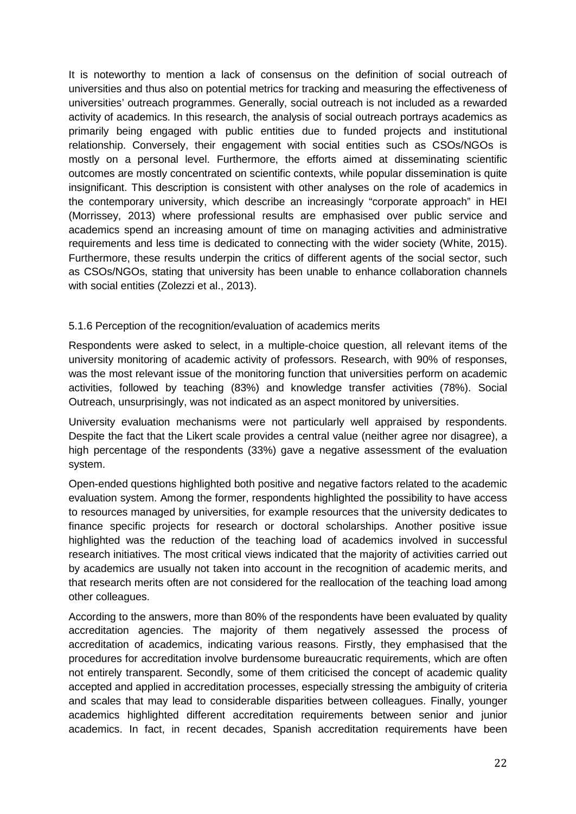It is noteworthy to mention a lack of consensus on the definition of social outreach of universities and thus also on potential metrics for tracking and measuring the effectiveness of universities' outreach programmes. Generally, social outreach is not included as a rewarded activity of academics. In this research, the analysis of social outreach portrays academics as primarily being engaged with public entities due to funded projects and institutional relationship. Conversely, their engagement with social entities such as CSOs/NGOs is mostly on a personal level. Furthermore, the efforts aimed at disseminating scientific outcomes are mostly concentrated on scientific contexts, while popular dissemination is quite insignificant. This description is consistent with other analyses on the role of academics in the contemporary university, which describe an increasingly "corporate approach" in HEI (Morrissey, 2013) where professional results are emphasised over public service and academics spend an increasing amount of time on managing activities and administrative requirements and less time is dedicated to connecting with the wider society (White, 2015). Furthermore, these results underpin the critics of different agents of the social sector, such as CSOs/NGOs, stating that university has been unable to enhance collaboration channels with social entities (Zolezzi et al., 2013).

### 5.1.6 Perception of the recognition/evaluation of academics merits

Respondents were asked to select, in a multiple-choice question, all relevant items of the university monitoring of academic activity of professors. Research, with 90% of responses, was the most relevant issue of the monitoring function that universities perform on academic activities, followed by teaching (83%) and knowledge transfer activities (78%). Social Outreach, unsurprisingly, was not indicated as an aspect monitored by universities.

University evaluation mechanisms were not particularly well appraised by respondents. Despite the fact that the Likert scale provides a central value (neither agree nor disagree), a high percentage of the respondents (33%) gave a negative assessment of the evaluation system.

Open-ended questions highlighted both positive and negative factors related to the academic evaluation system. Among the former, respondents highlighted the possibility to have access to resources managed by universities, for example resources that the university dedicates to finance specific projects for research or doctoral scholarships. Another positive issue highlighted was the reduction of the teaching load of academics involved in successful research initiatives. The most critical views indicated that the majority of activities carried out by academics are usually not taken into account in the recognition of academic merits, and that research merits often are not considered for the reallocation of the teaching load among other colleagues.

According to the answers, more than 80% of the respondents have been evaluated by quality accreditation agencies. The majority of them negatively assessed the process of accreditation of academics, indicating various reasons. Firstly, they emphasised that the procedures for accreditation involve burdensome bureaucratic requirements, which are often not entirely transparent. Secondly, some of them criticised the concept of academic quality accepted and applied in accreditation processes, especially stressing the ambiguity of criteria and scales that may lead to considerable disparities between colleagues. Finally, younger academics highlighted different accreditation requirements between senior and junior academics. In fact, in recent decades, Spanish accreditation requirements have been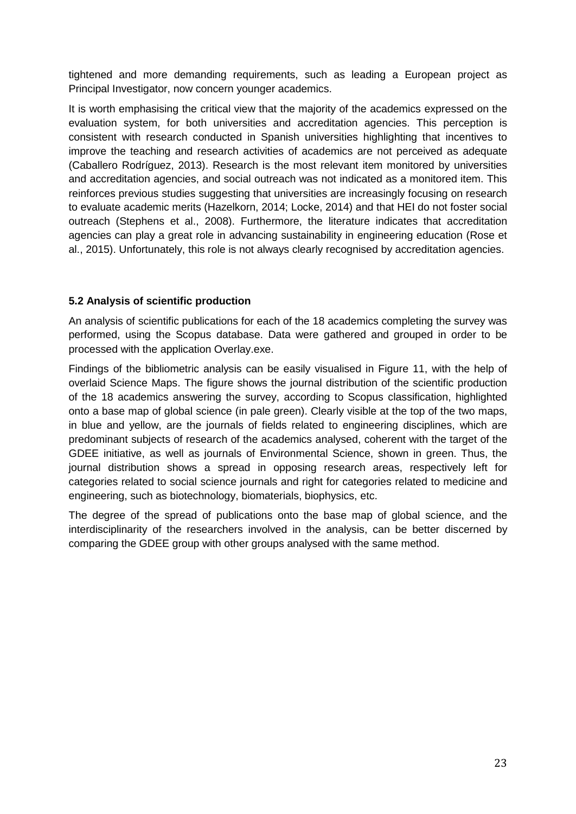tightened and more demanding requirements, such as leading a European project as Principal Investigator, now concern younger academics.

It is worth emphasising the critical view that the majority of the academics expressed on the evaluation system, for both universities and accreditation agencies. This perception is consistent with research conducted in Spanish universities highlighting that incentives to improve the teaching and research activities of academics are not perceived as adequate (Caballero Rodríguez, 2013). Research is the most relevant item monitored by universities and accreditation agencies, and social outreach was not indicated as a monitored item. This reinforces previous studies suggesting that universities are increasingly focusing on research to evaluate academic merits (Hazelkorn, 2014; Locke, 2014) and that HEI do not foster social outreach (Stephens et al., 2008). Furthermore, the literature indicates that accreditation agencies can play a great role in advancing sustainability in engineering education (Rose et al., 2015). Unfortunately, this role is not always clearly recognised by accreditation agencies.

#### **5.2 Analysis of scientific production**

An analysis of scientific publications for each of the 18 academics completing the survey was performed, using the Scopus database. Data were gathered and grouped in order to be processed with the application Overlay.exe.

Findings of the bibliometric analysis can be easily visualised in Figure 11, with the help of overlaid Science Maps. The figure shows the journal distribution of the scientific production of the 18 academics answering the survey, according to Scopus classification, highlighted onto a base map of global science (in pale green). Clearly visible at the top of the two maps, in blue and yellow, are the journals of fields related to engineering disciplines, which are predominant subjects of research of the academics analysed, coherent with the target of the GDEE initiative, as well as journals of Environmental Science, shown in green. Thus, the journal distribution shows a spread in opposing research areas, respectively left for categories related to social science journals and right for categories related to medicine and engineering, such as biotechnology, biomaterials, biophysics, etc.

The degree of the spread of publications onto the base map of global science, and the interdisciplinarity of the researchers involved in the analysis, can be better discerned by comparing the GDEE group with other groups analysed with the same method.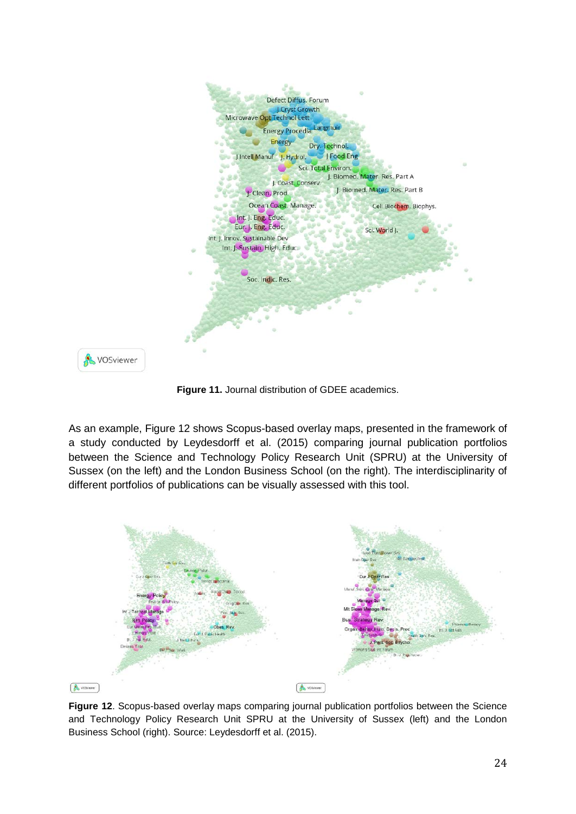

**Figure 11.** Journal distribution of GDEE academics.

As an example, Figure 12 shows Scopus-based overlay maps, presented in the framework of a study conducted by Leydesdorff et al. (2015) comparing journal publication portfolios between the Science and Technology Policy Research Unit (SPRU) at the University of Sussex (on the left) and the London Business School (on the right). The interdisciplinarity of different portfolios of publications can be visually assessed with this tool.



**Figure 12**. Scopus-based overlay maps comparing journal publication portfolios between the Science and Technology Policy Research Unit SPRU at the University of Sussex (left) and the London Business School (right). Source: Leydesdorff et al. (2015).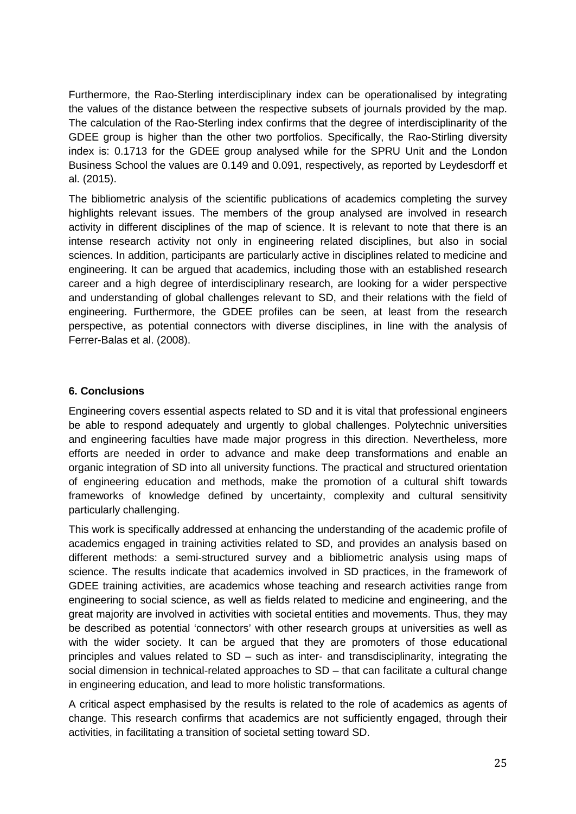Furthermore, the Rao-Sterling interdisciplinary index can be operationalised by integrating the values of the distance between the respective subsets of journals provided by the map. The calculation of the Rao-Sterling index confirms that the degree of interdisciplinarity of the GDEE group is higher than the other two portfolios. Specifically, the Rao-Stirling diversity index is: 0.1713 for the GDEE group analysed while for the SPRU Unit and the London Business School the values are 0.149 and 0.091, respectively, as reported by Leydesdorff et al. (2015).

The bibliometric analysis of the scientific publications of academics completing the survey highlights relevant issues. The members of the group analysed are involved in research activity in different disciplines of the map of science. It is relevant to note that there is an intense research activity not only in engineering related disciplines, but also in social sciences. In addition, participants are particularly active in disciplines related to medicine and engineering. It can be argued that academics, including those with an established research career and a high degree of interdisciplinary research, are looking for a wider perspective and understanding of global challenges relevant to SD, and their relations with the field of engineering. Furthermore, the GDEE profiles can be seen, at least from the research perspective, as potential connectors with diverse disciplines, in line with the analysis of Ferrer-Balas et al. (2008).

#### **6. Conclusions**

Engineering covers essential aspects related to SD and it is vital that professional engineers be able to respond adequately and urgently to global challenges. Polytechnic universities and engineering faculties have made major progress in this direction. Nevertheless, more efforts are needed in order to advance and make deep transformations and enable an organic integration of SD into all university functions. The practical and structured orientation of engineering education and methods, make the promotion of a cultural shift towards frameworks of knowledge defined by uncertainty, complexity and cultural sensitivity particularly challenging.

This work is specifically addressed at enhancing the understanding of the academic profile of academics engaged in training activities related to SD, and provides an analysis based on different methods: a semi-structured survey and a bibliometric analysis using maps of science. The results indicate that academics involved in SD practices, in the framework of GDEE training activities, are academics whose teaching and research activities range from engineering to social science, as well as fields related to medicine and engineering, and the great majority are involved in activities with societal entities and movements. Thus, they may be described as potential 'connectors' with other research groups at universities as well as with the wider society. It can be argued that they are promoters of those educational principles and values related to SD – such as inter- and transdisciplinarity, integrating the social dimension in technical-related approaches to SD – that can facilitate a cultural change in engineering education, and lead to more holistic transformations.

A critical aspect emphasised by the results is related to the role of academics as agents of change. This research confirms that academics are not sufficiently engaged, through their activities, in facilitating a transition of societal setting toward SD.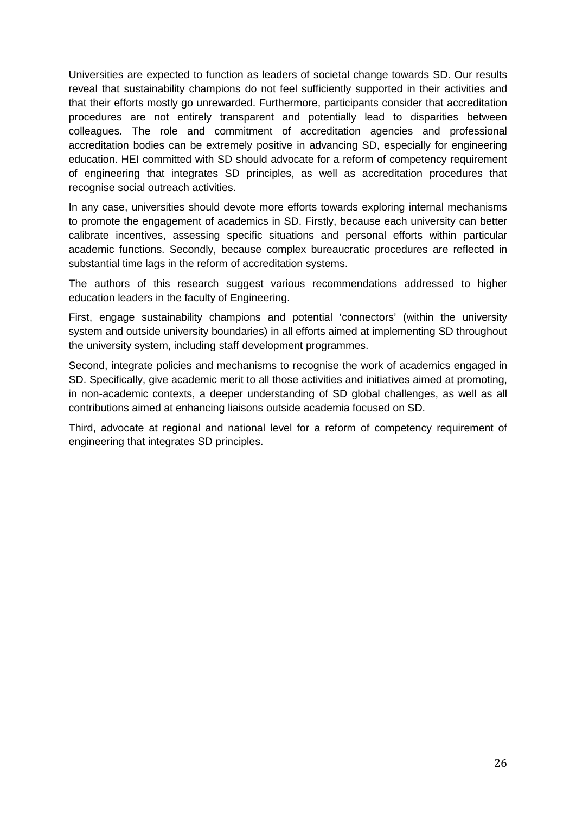Universities are expected to function as leaders of societal change towards SD. Our results reveal that sustainability champions do not feel sufficiently supported in their activities and that their efforts mostly go unrewarded. Furthermore, participants consider that accreditation procedures are not entirely transparent and potentially lead to disparities between colleagues. The role and commitment of accreditation agencies and professional accreditation bodies can be extremely positive in advancing SD, especially for engineering education. HEI committed with SD should advocate for a reform of competency requirement of engineering that integrates SD principles, as well as accreditation procedures that recognise social outreach activities.

In any case, universities should devote more efforts towards exploring internal mechanisms to promote the engagement of academics in SD. Firstly, because each university can better calibrate incentives, assessing specific situations and personal efforts within particular academic functions. Secondly, because complex bureaucratic procedures are reflected in substantial time lags in the reform of accreditation systems.

The authors of this research suggest various recommendations addressed to higher education leaders in the faculty of Engineering.

First, engage sustainability champions and potential 'connectors' (within the university system and outside university boundaries) in all efforts aimed at implementing SD throughout the university system, including staff development programmes.

Second, integrate policies and mechanisms to recognise the work of academics engaged in SD. Specifically, give academic merit to all those activities and initiatives aimed at promoting, in non-academic contexts, a deeper understanding of SD global challenges, as well as all contributions aimed at enhancing liaisons outside academia focused on SD.

Third, advocate at regional and national level for a reform of competency requirement of engineering that integrates SD principles.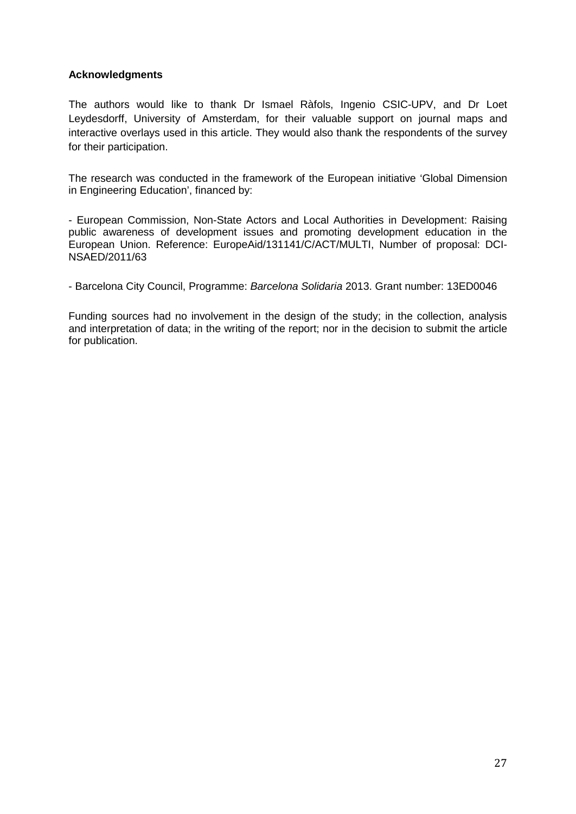#### **Acknowledgments**

The authors would like to thank Dr Ismael Ràfols, Ingenio CSIC-UPV, and Dr Loet Leydesdorff, University of Amsterdam, for their valuable support on journal maps and interactive overlays used in this article. They would also thank the respondents of the survey for their participation.

The research was conducted in the framework of the European initiative 'Global Dimension in Engineering Education', financed by:

- European Commission, Non-State Actors and Local Authorities in Development: Raising public awareness of development issues and promoting development education in the European Union. Reference: EuropeAid/131141/C/ACT/MULTI, Number of proposal: DCI-NSAED/2011/63

- Barcelona City Council, Programme: *Barcelona Solidaria* 2013. Grant number: 13ED0046

Funding sources had no involvement in the design of the study; in the collection, analysis and interpretation of data; in the writing of the report; nor in the decision to submit the article for publication.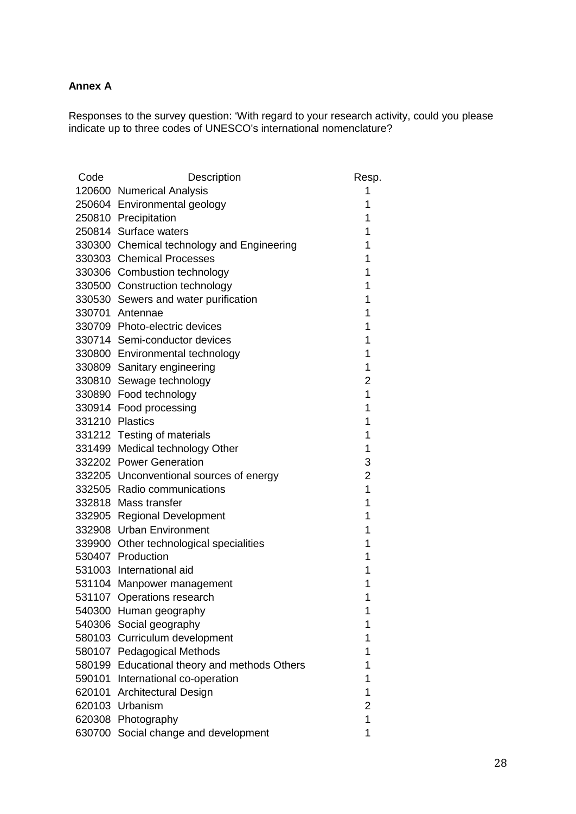## **Annex A**

Responses to the survey question: 'With regard to your research activity, could you please indicate up to three codes of UNESCO's international nomenclature?

| Code | Description                                  | Resp.          |
|------|----------------------------------------------|----------------|
|      | 120600 Numerical Analysis                    | 1              |
|      | 250604 Environmental geology                 | 1              |
|      | 250810 Precipitation                         | 1              |
|      | 250814 Surface waters                        | 1              |
|      | 330300 Chemical technology and Engineering   | 1              |
|      | 330303 Chemical Processes                    | 1              |
|      | 330306 Combustion technology                 | 1              |
|      | 330500 Construction technology               | 1              |
|      | 330530 Sewers and water purification         | 1              |
|      | 330701 Antennae                              | 1              |
|      | 330709 Photo-electric devices                | 1              |
|      | 330714 Semi-conductor devices                | 1              |
|      | 330800 Environmental technology              | 1              |
|      | 330809 Sanitary engineering                  | 1              |
|      | 330810 Sewage technology                     | 2              |
|      | 330890 Food technology                       | 1              |
|      | 330914 Food processing                       | 1              |
|      | 331210 Plastics                              | 1              |
|      | 331212 Testing of materials                  | 1              |
|      | 331499 Medical technology Other              | 1              |
|      | 332202 Power Generation                      | 3              |
|      | 332205 Unconventional sources of energy      | $\overline{c}$ |
|      | 332505 Radio communications                  | 1              |
|      | 332818 Mass transfer                         | 1              |
|      | 332905 Regional Development                  | 1              |
|      | 332908 Urban Environment                     | 1              |
|      | 339900 Other technological specialities      | 1              |
|      | 530407 Production                            | 1              |
|      | 531003 International aid                     | 1              |
|      | 531104 Manpower management                   | 1              |
|      | 531107 Operations research                   | 1              |
|      | 540300 Human geography                       | 1              |
|      | 540306 Social geography                      |                |
|      | 580103 Curriculum development                | 1              |
|      | 580107 Pedagogical Methods                   | 1              |
|      | 580199 Educational theory and methods Others | 1              |
|      | 590101 International co-operation            | 1              |
|      | 620101 Architectural Design                  | 1              |
|      | 620103 Urbanism                              | 2              |
|      | 620308 Photography                           | 1              |
|      | 630700 Social change and development         | 1              |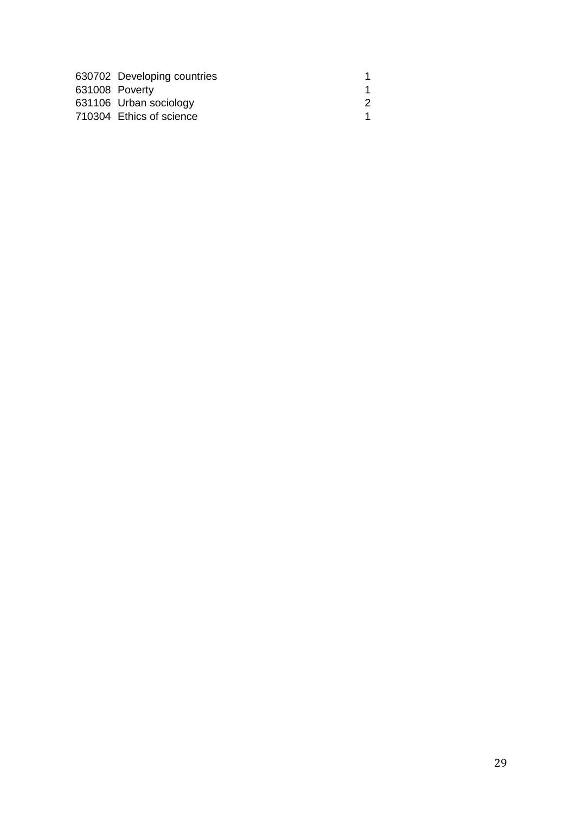| 630702 Developing countries |  |
|-----------------------------|--|
| 631008 Poverty              |  |
| 631106 Urban sociology      |  |
| 710304 Ethics of science    |  |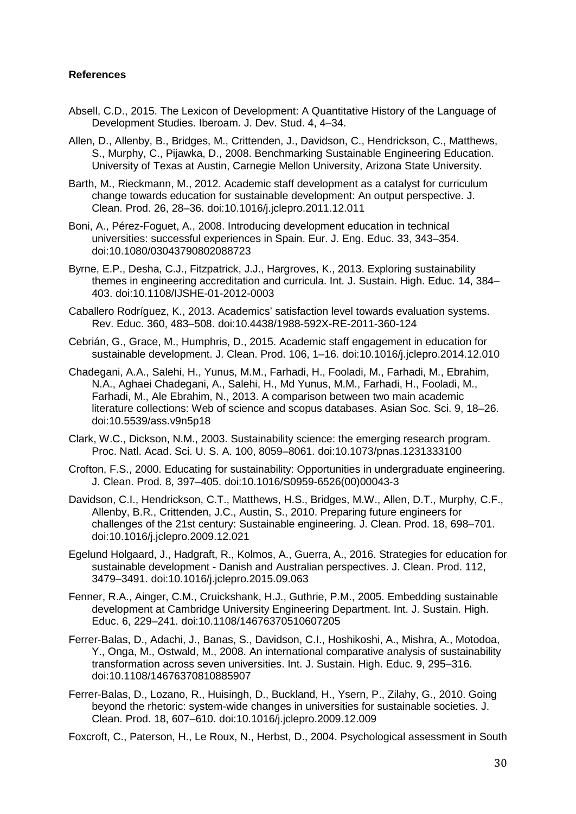#### **References**

- Absell, C.D., 2015. The Lexicon of Development: A Quantitative History of the Language of Development Studies. Iberoam. J. Dev. Stud. 4, 4–34.
- Allen, D., Allenby, B., Bridges, M., Crittenden, J., Davidson, C., Hendrickson, C., Matthews, S., Murphy, C., Pijawka, D., 2008. Benchmarking Sustainable Engineering Education. University of Texas at Austin, Carnegie Mellon University, Arizona State University.
- Barth, M., Rieckmann, M., 2012. Academic staff development as a catalyst for curriculum change towards education for sustainable development: An output perspective. J. Clean. Prod. 26, 28–36. doi:10.1016/j.jclepro.2011.12.011
- Boni, A., Pérez-Foguet, A., 2008. Introducing development education in technical universities: successful experiences in Spain. Eur. J. Eng. Educ. 33, 343–354. doi:10.1080/03043790802088723
- Byrne, E.P., Desha, C.J., Fitzpatrick, J.J., Hargroves, K., 2013. Exploring sustainability themes in engineering accreditation and curricula. Int. J. Sustain. High. Educ. 14, 384– 403. doi:10.1108/IJSHE-01-2012-0003
- Caballero Rodríguez, K., 2013. Academics' satisfaction level towards evaluation systems. Rev. Educ. 360, 483–508. doi:10.4438/1988-592X-RE-2011-360-124
- Cebrián, G., Grace, M., Humphris, D., 2015. Academic staff engagement in education for sustainable development. J. Clean. Prod. 106, 1–16. doi:10.1016/j.jclepro.2014.12.010
- Chadegani, A.A., Salehi, H., Yunus, M.M., Farhadi, H., Fooladi, M., Farhadi, M., Ebrahim, N.A., Aghaei Chadegani, A., Salehi, H., Md Yunus, M.M., Farhadi, H., Fooladi, M., Farhadi, M., Ale Ebrahim, N., 2013. A comparison between two main academic literature collections: Web of science and scopus databases. Asian Soc. Sci. 9, 18–26. doi:10.5539/ass.v9n5p18
- Clark, W.C., Dickson, N.M., 2003. Sustainability science: the emerging research program. Proc. Natl. Acad. Sci. U. S. A. 100, 8059–8061. doi:10.1073/pnas.1231333100
- Crofton, F.S., 2000. Educating for sustainability: Opportunities in undergraduate engineering. J. Clean. Prod. 8, 397–405. doi:10.1016/S0959-6526(00)00043-3
- Davidson, C.I., Hendrickson, C.T., Matthews, H.S., Bridges, M.W., Allen, D.T., Murphy, C.F., Allenby, B.R., Crittenden, J.C., Austin, S., 2010. Preparing future engineers for challenges of the 21st century: Sustainable engineering. J. Clean. Prod. 18, 698–701. doi:10.1016/j.jclepro.2009.12.021
- Egelund Holgaard, J., Hadgraft, R., Kolmos, A., Guerra, A., 2016. Strategies for education for sustainable development - Danish and Australian perspectives. J. Clean. Prod. 112, 3479–3491. doi:10.1016/j.jclepro.2015.09.063
- Fenner, R.A., Ainger, C.M., Cruickshank, H.J., Guthrie, P.M., 2005. Embedding sustainable development at Cambridge University Engineering Department. Int. J. Sustain. High. Educ. 6, 229–241. doi:10.1108/14676370510607205
- Ferrer-Balas, D., Adachi, J., Banas, S., Davidson, C.I., Hoshikoshi, A., Mishra, A., Motodoa, Y., Onga, M., Ostwald, M., 2008. An international comparative analysis of sustainability transformation across seven universities. Int. J. Sustain. High. Educ. 9, 295–316. doi:10.1108/14676370810885907
- Ferrer-Balas, D., Lozano, R., Huisingh, D., Buckland, H., Ysern, P., Zilahy, G., 2010. Going beyond the rhetoric: system-wide changes in universities for sustainable societies. J. Clean. Prod. 18, 607–610. doi:10.1016/j.jclepro.2009.12.009

Foxcroft, C., Paterson, H., Le Roux, N., Herbst, D., 2004. Psychological assessment in South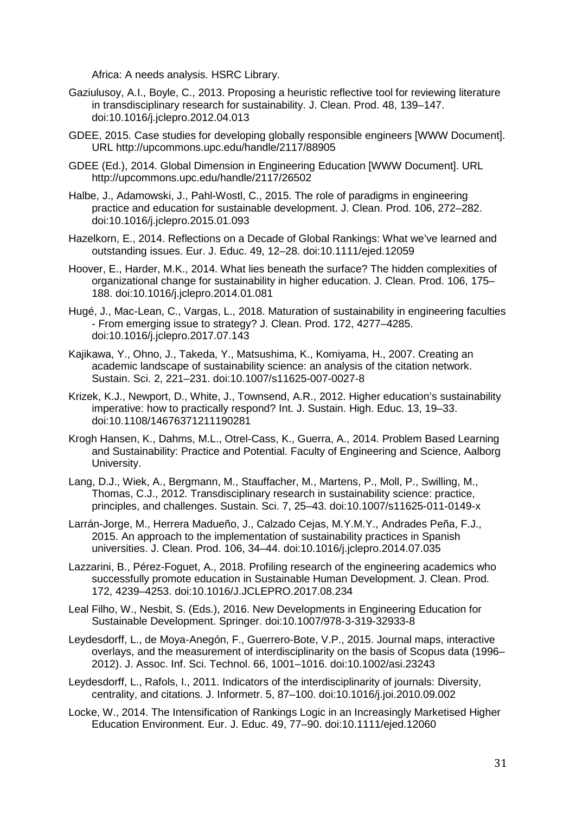Africa: A needs analysis. HSRC Library.

- Gaziulusoy, A.I., Boyle, C., 2013. Proposing a heuristic reflective tool for reviewing literature in transdisciplinary research for sustainability. J. Clean. Prod. 48, 139–147. doi:10.1016/j.jclepro.2012.04.013
- GDEE, 2015. Case studies for developing globally responsible engineers [WWW Document]. URL http://upcommons.upc.edu/handle/2117/88905
- GDEE (Ed.), 2014. Global Dimension in Engineering Education [WWW Document]. URL http://upcommons.upc.edu/handle/2117/26502
- Halbe, J., Adamowski, J., Pahl-Wostl, C., 2015. The role of paradigms in engineering practice and education for sustainable development. J. Clean. Prod. 106, 272–282. doi:10.1016/j.jclepro.2015.01.093
- Hazelkorn, E., 2014. Reflections on a Decade of Global Rankings: What we've learned and outstanding issues. Eur. J. Educ. 49, 12–28. doi:10.1111/ejed.12059
- Hoover, E., Harder, M.K., 2014. What lies beneath the surface? The hidden complexities of organizational change for sustainability in higher education. J. Clean. Prod. 106, 175– 188. doi:10.1016/j.jclepro.2014.01.081
- Hugé, J., Mac-Lean, C., Vargas, L., 2018. Maturation of sustainability in engineering faculties - From emerging issue to strategy? J. Clean. Prod. 172, 4277–4285. doi:10.1016/j.jclepro.2017.07.143
- Kajikawa, Y., Ohno, J., Takeda, Y., Matsushima, K., Komiyama, H., 2007. Creating an academic landscape of sustainability science: an analysis of the citation network. Sustain. Sci. 2, 221–231. doi:10.1007/s11625-007-0027-8
- Krizek, K.J., Newport, D., White, J., Townsend, A.R., 2012. Higher education's sustainability imperative: how to practically respond? Int. J. Sustain. High. Educ. 13, 19–33. doi:10.1108/14676371211190281
- Krogh Hansen, K., Dahms, M.L., Otrel-Cass, K., Guerra, A., 2014. Problem Based Learning and Sustainability: Practice and Potential. Faculty of Engineering and Science, Aalborg University.
- Lang, D.J., Wiek, A., Bergmann, M., Stauffacher, M., Martens, P., Moll, P., Swilling, M., Thomas, C.J., 2012. Transdisciplinary research in sustainability science: practice, principles, and challenges. Sustain. Sci. 7, 25–43. doi:10.1007/s11625-011-0149-x
- Larrán-Jorge, M., Herrera Madueño, J., Calzado Cejas, M.Y.M.Y., Andrades Peña, F.J., 2015. An approach to the implementation of sustainability practices in Spanish universities. J. Clean. Prod. 106, 34–44. doi:10.1016/j.jclepro.2014.07.035
- Lazzarini, B., Pérez-Foguet, A., 2018. Profiling research of the engineering academics who successfully promote education in Sustainable Human Development. J. Clean. Prod. 172, 4239–4253. doi:10.1016/J.JCLEPRO.2017.08.234
- Leal Filho, W., Nesbit, S. (Eds.), 2016. New Developments in Engineering Education for Sustainable Development. Springer. doi:10.1007/978-3-319-32933-8
- Leydesdorff, L., de Moya-Anegón, F., Guerrero-Bote, V.P., 2015. Journal maps, interactive overlays, and the measurement of interdisciplinarity on the basis of Scopus data (1996– 2012). J. Assoc. Inf. Sci. Technol. 66, 1001–1016. doi:10.1002/asi.23243
- Leydesdorff, L., Rafols, I., 2011. Indicators of the interdisciplinarity of journals: Diversity, centrality, and citations. J. Informetr. 5, 87–100. doi:10.1016/j.joi.2010.09.002
- Locke, W., 2014. The Intensification of Rankings Logic in an Increasingly Marketised Higher Education Environment. Eur. J. Educ. 49, 77–90. doi:10.1111/ejed.12060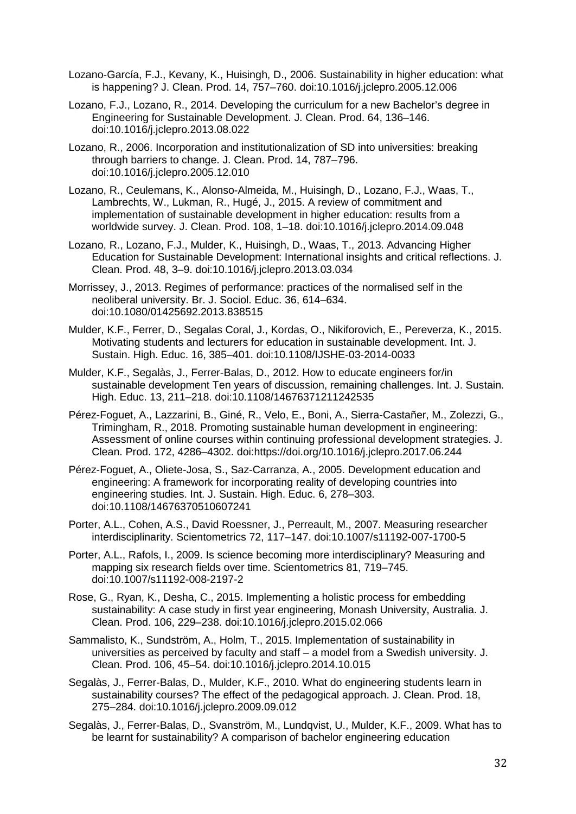- Lozano-García, F.J., Kevany, K., Huisingh, D., 2006. Sustainability in higher education: what is happening? J. Clean. Prod. 14, 757–760. doi:10.1016/j.jclepro.2005.12.006
- Lozano, F.J., Lozano, R., 2014. Developing the curriculum for a new Bachelor's degree in Engineering for Sustainable Development. J. Clean. Prod. 64, 136–146. doi:10.1016/j.jclepro.2013.08.022
- Lozano, R., 2006. Incorporation and institutionalization of SD into universities: breaking through barriers to change. J. Clean. Prod. 14, 787–796. doi:10.1016/j.jclepro.2005.12.010
- Lozano, R., Ceulemans, K., Alonso-Almeida, M., Huisingh, D., Lozano, F.J., Waas, T., Lambrechts, W., Lukman, R., Hugé, J., 2015. A review of commitment and implementation of sustainable development in higher education: results from a worldwide survey. J. Clean. Prod. 108, 1–18. doi:10.1016/j.jclepro.2014.09.048
- Lozano, R., Lozano, F.J., Mulder, K., Huisingh, D., Waas, T., 2013. Advancing Higher Education for Sustainable Development: International insights and critical reflections. J. Clean. Prod. 48, 3–9. doi:10.1016/j.jclepro.2013.03.034
- Morrissey, J., 2013. Regimes of performance: practices of the normalised self in the neoliberal university. Br. J. Sociol. Educ. 36, 614–634. doi:10.1080/01425692.2013.838515
- Mulder, K.F., Ferrer, D., Segalas Coral, J., Kordas, O., Nikiforovich, E., Pereverza, K., 2015. Motivating students and lecturers for education in sustainable development. Int. J. Sustain. High. Educ. 16, 385–401. doi:10.1108/IJSHE-03-2014-0033
- Mulder, K.F., Segalàs, J., Ferrer-Balas, D., 2012. How to educate engineers for/in sustainable development Ten years of discussion, remaining challenges. Int. J. Sustain. High. Educ. 13, 211–218. doi:10.1108/14676371211242535
- Pérez-Foguet, A., Lazzarini, B., Giné, R., Velo, E., Boni, A., Sierra-Castañer, M., Zolezzi, G., Trimingham, R., 2018. Promoting sustainable human development in engineering: Assessment of online courses within continuing professional development strategies. J. Clean. Prod. 172, 4286–4302. doi:https://doi.org/10.1016/j.jclepro.2017.06.244
- Pérez-Foguet, A., Oliete-Josa, S., Saz-Carranza, A., 2005. Development education and engineering: A framework for incorporating reality of developing countries into engineering studies. Int. J. Sustain. High. Educ. 6, 278–303. doi:10.1108/14676370510607241
- Porter, A.L., Cohen, A.S., David Roessner, J., Perreault, M., 2007. Measuring researcher interdisciplinarity. Scientometrics 72, 117–147. doi:10.1007/s11192-007-1700-5
- Porter, A.L., Rafols, I., 2009. Is science becoming more interdisciplinary? Measuring and mapping six research fields over time. Scientometrics 81, 719–745. doi:10.1007/s11192-008-2197-2
- Rose, G., Ryan, K., Desha, C., 2015. Implementing a holistic process for embedding sustainability: A case study in first year engineering, Monash University, Australia. J. Clean. Prod. 106, 229–238. doi:10.1016/j.jclepro.2015.02.066
- Sammalisto, K., Sundström, A., Holm, T., 2015. Implementation of sustainability in universities as perceived by faculty and staff – a model from a Swedish university. J. Clean. Prod. 106, 45–54. doi:10.1016/j.jclepro.2014.10.015
- Segalàs, J., Ferrer-Balas, D., Mulder, K.F., 2010. What do engineering students learn in sustainability courses? The effect of the pedagogical approach. J. Clean. Prod. 18, 275–284. doi:10.1016/j.jclepro.2009.09.012
- Segalàs, J., Ferrer-Balas, D., Svanström, M., Lundqvist, U., Mulder, K.F., 2009. What has to be learnt for sustainability? A comparison of bachelor engineering education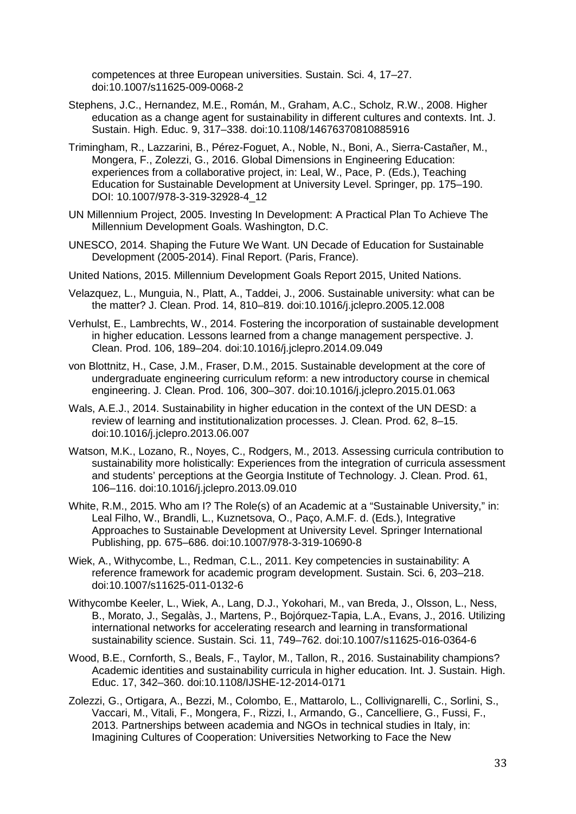competences at three European universities. Sustain. Sci. 4, 17–27. doi:10.1007/s11625-009-0068-2

- Stephens, J.C., Hernandez, M.E., Román, M., Graham, A.C., Scholz, R.W., 2008. Higher education as a change agent for sustainability in different cultures and contexts. Int. J. Sustain. High. Educ. 9, 317–338. doi:10.1108/14676370810885916
- Trimingham, R., Lazzarini, B., Pérez-Foguet, A., Noble, N., Boni, A., Sierra-Castañer, M., Mongera, F., Zolezzi, G., 2016. Global Dimensions in Engineering Education: experiences from a collaborative project, in: Leal, W., Pace, P. (Eds.), Teaching Education for Sustainable Development at University Level. Springer, pp. 175–190. DOI: 10.1007/978-3-319-32928-4\_12
- UN Millennium Project, 2005. Investing In Development: A Practical Plan To Achieve The Millennium Development Goals. Washington, D.C.
- UNESCO, 2014. Shaping the Future We Want. UN Decade of Education for Sustainable Development (2005-2014). Final Report. (Paris, France).
- United Nations, 2015. Millennium Development Goals Report 2015, United Nations.
- Velazquez, L., Munguia, N., Platt, A., Taddei, J., 2006. Sustainable university: what can be the matter? J. Clean. Prod. 14, 810–819. doi:10.1016/j.jclepro.2005.12.008
- Verhulst, E., Lambrechts, W., 2014. Fostering the incorporation of sustainable development in higher education. Lessons learned from a change management perspective. J. Clean. Prod. 106, 189–204. doi:10.1016/j.jclepro.2014.09.049
- von Blottnitz, H., Case, J.M., Fraser, D.M., 2015. Sustainable development at the core of undergraduate engineering curriculum reform: a new introductory course in chemical engineering. J. Clean. Prod. 106, 300–307. doi:10.1016/j.jclepro.2015.01.063
- Wals, A.E.J., 2014. Sustainability in higher education in the context of the UN DESD: a review of learning and institutionalization processes. J. Clean. Prod. 62, 8–15. doi:10.1016/j.jclepro.2013.06.007
- Watson, M.K., Lozano, R., Noyes, C., Rodgers, M., 2013. Assessing curricula contribution to sustainability more holistically: Experiences from the integration of curricula assessment and students' perceptions at the Georgia Institute of Technology. J. Clean. Prod. 61, 106–116. doi:10.1016/j.jclepro.2013.09.010
- White, R.M., 2015. Who am I? The Role(s) of an Academic at a "Sustainable University," in: Leal Filho, W., Brandli, L., Kuznetsova, O., Paço, A.M.F. d. (Eds.), Integrative Approaches to Sustainable Development at University Level. Springer International Publishing, pp. 675–686. doi:10.1007/978-3-319-10690-8
- Wiek, A., Withycombe, L., Redman, C.L., 2011. Key competencies in sustainability: A reference framework for academic program development. Sustain. Sci. 6, 203–218. doi:10.1007/s11625-011-0132-6
- Withycombe Keeler, L., Wiek, A., Lang, D.J., Yokohari, M., van Breda, J., Olsson, L., Ness, B., Morato, J., Segalàs, J., Martens, P., Bojórquez-Tapia, L.A., Evans, J., 2016. Utilizing international networks for accelerating research and learning in transformational sustainability science. Sustain. Sci. 11, 749–762. doi:10.1007/s11625-016-0364-6
- Wood, B.E., Cornforth, S., Beals, F., Taylor, M., Tallon, R., 2016. Sustainability champions? Academic identities and sustainability curricula in higher education. Int. J. Sustain. High. Educ. 17, 342–360. doi:10.1108/IJSHE-12-2014-0171
- Zolezzi, G., Ortigara, A., Bezzi, M., Colombo, E., Mattarolo, L., Collivignarelli, C., Sorlini, S., Vaccari, M., Vitali, F., Mongera, F., Rizzi, I., Armando, G., Cancelliere, G., Fussi, F., 2013. Partnerships between academia and NGOs in technical studies in Italy, in: Imagining Cultures of Cooperation: Universities Networking to Face the New